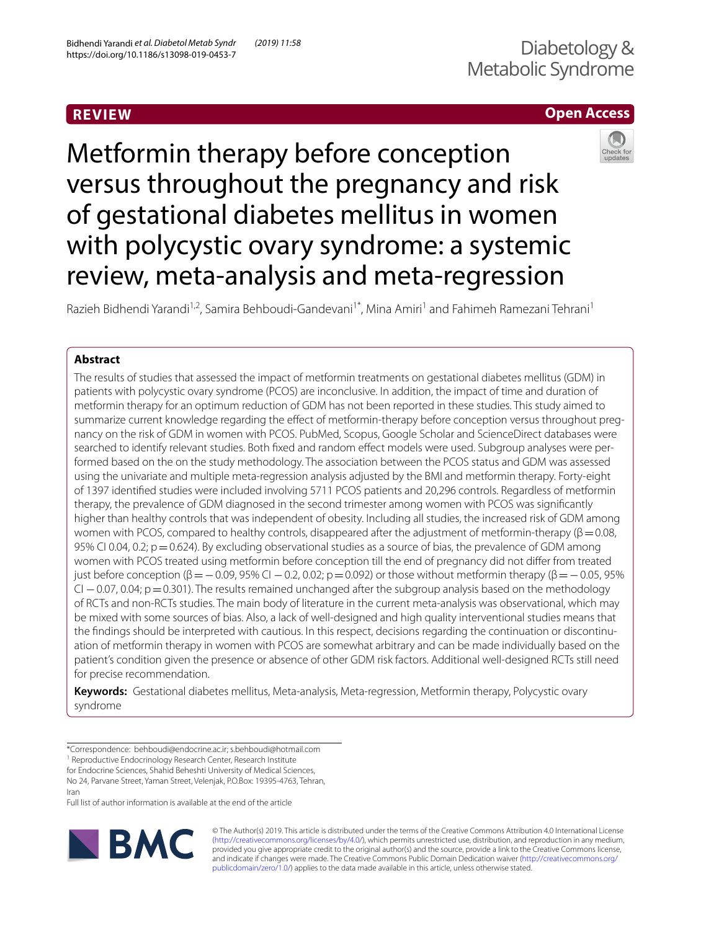# Diabetology & Metabolic Syndrome

## **REVIEW**

## **Open Access**



Razieh Bidhendi Yarandi<sup>1,2</sup>, Samira Behboudi-Gandevani<sup>1\*</sup>, Mina Amiri<sup>1</sup> and Fahimeh Ramezani Tehrani<sup>1</sup>

## **Abstract**

The results of studies that assessed the impact of metformin treatments on gestational diabetes mellitus (GDM) in patients with polycystic ovary syndrome (PCOS) are inconclusive. In addition, the impact of time and duration of metformin therapy for an optimum reduction of GDM has not been reported in these studies. This study aimed to summarize current knowledge regarding the effect of metformin-therapy before conception versus throughout pregnancy on the risk of GDM in women with PCOS. PubMed, Scopus, Google Scholar and ScienceDirect databases were searched to identify relevant studies. Both fixed and random effect models were used. Subgroup analyses were performed based on the on the study methodology. The association between the PCOS status and GDM was assessed using the univariate and multiple meta-regression analysis adjusted by the BMI and metformin therapy. Forty-eight of 1397 identifed studies were included involving 5711 PCOS patients and 20,296 controls. Regardless of metformin therapy, the prevalence of GDM diagnosed in the second trimester among women with PCOS was signifcantly higher than healthy controls that was independent of obesity. Including all studies, the increased risk of GDM among women with PCOS, compared to healthy controls, disappeared after the adjustment of metformin-therapy (β = 0.08, 95% CI 0.04, 0.2;  $p = 0.624$ ). By excluding observational studies as a source of bias, the prevalence of GDM among women with PCOS treated using metformin before conception till the end of pregnancy did not difer from treated just before conception (β = − 0.09, 95% CI − 0.2, 0.02; p = 0.092) or those without metformin therapy (β = − 0.05, 95% CI −0.07, 0.04; p = 0.301). The results remained unchanged after the subgroup analysis based on the methodology of RCTs and non-RCTs studies. The main body of literature in the current meta-analysis was observational, which may be mixed with some sources of bias. Also, a lack of well-designed and high quality interventional studies means that the findings should be interpreted with cautious. In this respect, decisions regarding the continuation or discontinuation of metformin therapy in women with PCOS are somewhat arbitrary and can be made individually based on the patient's condition given the presence or absence of other GDM risk factors. Additional well-designed RCTs still need for precise recommendation.

**Keywords:** Gestational diabetes mellitus, Meta-analysis, Meta-regression, Metformin therapy, Polycystic ovary syndrome

\*Correspondence: behboudi@endocrine.ac.ir; s.behboudi@hotmail.com

No 24, Parvane Street, Yaman Street, Velenjak, P.O.Box: 19395‑4763, Tehran, Iran

Full list of author information is available at the end of the article



© The Author(s) 2019. This article is distributed under the terms of the Creative Commons Attribution 4.0 International License [\(http://creativecommons.org/licenses/by/4.0/\)](http://creativecommons.org/licenses/by/4.0/), which permits unrestricted use, distribution, and reproduction in any medium, provided you give appropriate credit to the original author(s) and the source, provide a link to the Creative Commons license, and indicate if changes were made. The Creative Commons Public Domain Dedication waiver ([http://creativecommons.org/](http://creativecommons.org/publicdomain/zero/1.0/) [publicdomain/zero/1.0/](http://creativecommons.org/publicdomain/zero/1.0/)) applies to the data made available in this article, unless otherwise stated.

<sup>&</sup>lt;sup>1</sup> Reproductive Endocrinology Research Center, Research Institute

for Endocrine Sciences, Shahid Beheshti University of Medical Sciences,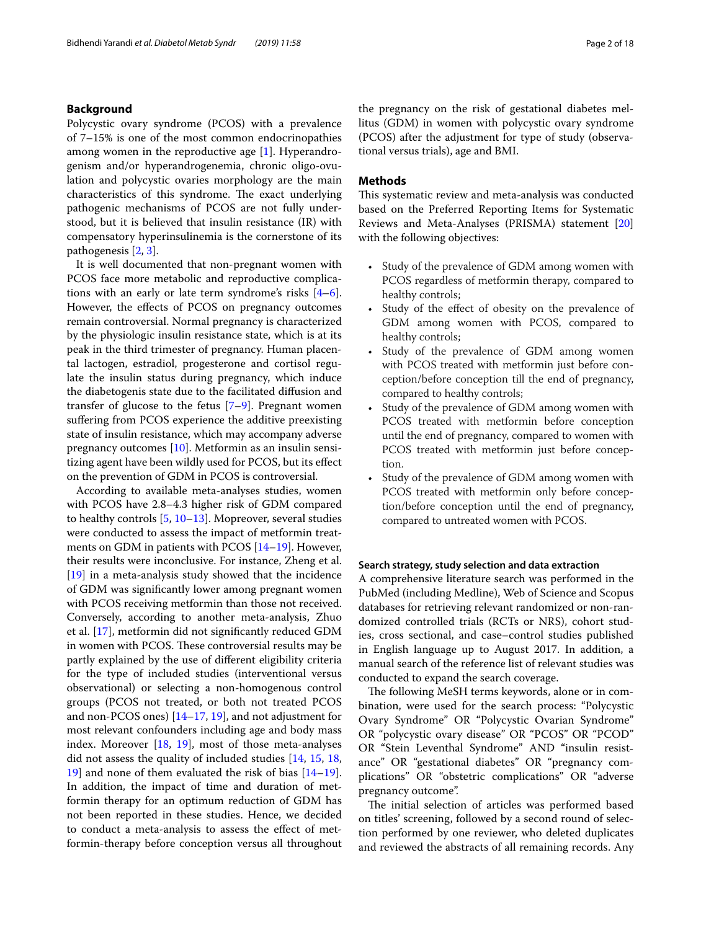## **Background**

Polycystic ovary syndrome (PCOS) with a prevalence of 7–15% is one of the most common endocrinopathies among women in the reproductive age [[1\]](#page-15-0). Hyperandrogenism and/or hyperandrogenemia, chronic oligo-ovulation and polycystic ovaries morphology are the main characteristics of this syndrome. The exact underlying pathogenic mechanisms of PCOS are not fully understood, but it is believed that insulin resistance (IR) with compensatory hyperinsulinemia is the cornerstone of its pathogenesis [\[2](#page-16-0), [3](#page-16-1)].

It is well documented that non-pregnant women with PCOS face more metabolic and reproductive complications with an early or late term syndrome's risks [\[4](#page-16-2)[–6](#page-16-3)]. However, the efects of PCOS on pregnancy outcomes remain controversial. Normal pregnancy is characterized by the physiologic insulin resistance state, which is at its peak in the third trimester of pregnancy. Human placental lactogen, estradiol, progesterone and cortisol regulate the insulin status during pregnancy, which induce the diabetogenis state due to the facilitated difusion and transfer of glucose to the fetus  $[7-9]$  $[7-9]$ . Pregnant women suffering from PCOS experience the additive preexisting state of insulin resistance, which may accompany adverse pregnancy outcomes [[10](#page-16-6)]. Metformin as an insulin sensitizing agent have been wildly used for PCOS, but its efect on the prevention of GDM in PCOS is controversial.

According to available meta-analyses studies, women with PCOS have 2.8–4.3 higher risk of GDM compared to healthy controls [[5,](#page-16-7) [10](#page-16-6)[–13\]](#page-16-8). Mopreover, several studies were conducted to assess the impact of metformin treat-ments on GDM in patients with PCOS [[14–](#page-16-9)[19](#page-16-10)]. However, their results were inconclusive. For instance, Zheng et al. [[19\]](#page-16-10) in a meta-analysis study showed that the incidence of GDM was signifcantly lower among pregnant women with PCOS receiving metformin than those not received. Conversely, according to another meta-analysis, Zhuo et al. [\[17](#page-16-11)], metformin did not signifcantly reduced GDM in women with PCOS. These controversial results may be partly explained by the use of diferent eligibility criteria for the type of included studies (interventional versus observational) or selecting a non-homogenous control groups (PCOS not treated, or both not treated PCOS and non-PCOS ones) [\[14–](#page-16-9)[17,](#page-16-11) [19](#page-16-10)], and not adjustment for most relevant confounders including age and body mass index. Moreover [[18,](#page-16-12) [19\]](#page-16-10), most of those meta-analyses did not assess the quality of included studies [\[14](#page-16-9), [15](#page-16-13), [18](#page-16-12), [19\]](#page-16-10) and none of them evaluated the risk of bias [[14](#page-16-9)[–19](#page-16-10)]. In addition, the impact of time and duration of metformin therapy for an optimum reduction of GDM has not been reported in these studies. Hence, we decided to conduct a meta-analysis to assess the efect of metformin-therapy before conception versus all throughout the pregnancy on the risk of gestational diabetes mellitus (GDM) in women with polycystic ovary syndrome (PCOS) after the adjustment for type of study (observational versus trials), age and BMI.

## **Methods**

This systematic review and meta-analysis was conducted based on the Preferred Reporting Items for Systematic Reviews and Meta-Analyses (PRISMA) statement [[20](#page-16-14)] with the following objectives:

- Study of the prevalence of GDM among women with PCOS regardless of metformin therapy, compared to healthy controls;
- Study of the effect of obesity on the prevalence of GDM among women with PCOS, compared to healthy controls;
- Study of the prevalence of GDM among women with PCOS treated with metformin just before conception/before conception till the end of pregnancy, compared to healthy controls;
- Study of the prevalence of GDM among women with PCOS treated with metformin before conception until the end of pregnancy, compared to women with PCOS treated with metformin just before conception.
- Study of the prevalence of GDM among women with PCOS treated with metformin only before conception/before conception until the end of pregnancy, compared to untreated women with PCOS.

## **Search strategy, study selection and data extraction**

A comprehensive literature search was performed in the PubMed (including Medline), Web of Science and Scopus databases for retrieving relevant randomized or non-randomized controlled trials (RCTs or NRS), cohort studies, cross sectional, and case–control studies published in English language up to August 2017. In addition, a manual search of the reference list of relevant studies was conducted to expand the search coverage.

The following MeSH terms keywords, alone or in combination, were used for the search process: "Polycystic Ovary Syndrome" OR "Polycystic Ovarian Syndrome" OR "polycystic ovary disease" OR "PCOS" OR "PCOD" OR "Stein Leventhal Syndrome" AND "insulin resistance" OR "gestational diabetes" OR "pregnancy complications" OR "obstetric complications" OR "adverse pregnancy outcome".

The initial selection of articles was performed based on titles' screening, followed by a second round of selection performed by one reviewer, who deleted duplicates and reviewed the abstracts of all remaining records. Any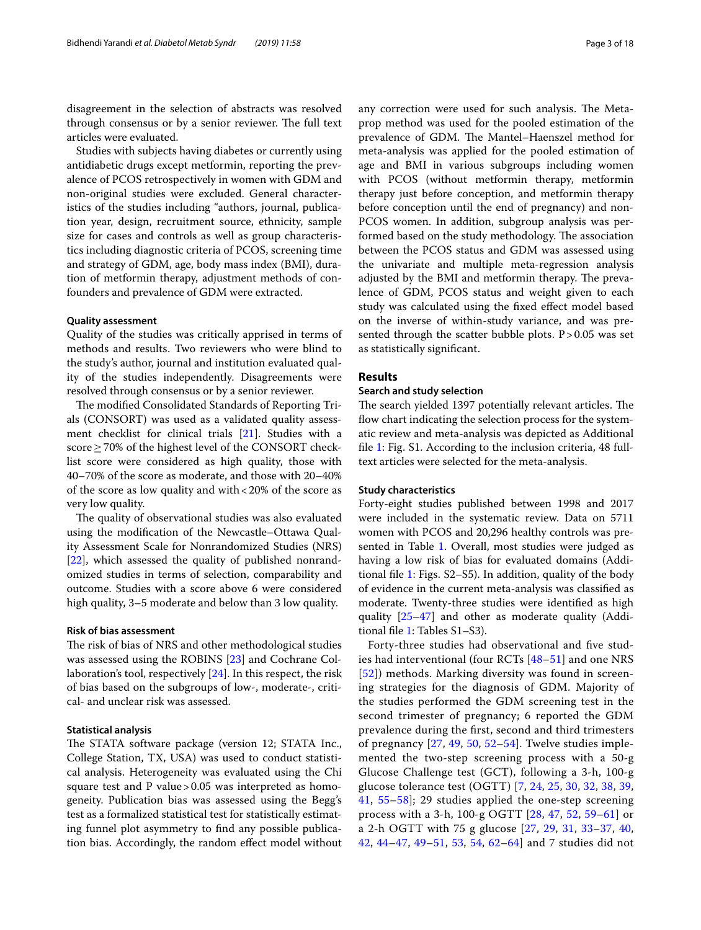disagreement in the selection of abstracts was resolved through consensus or by a senior reviewer. The full text articles were evaluated.

Studies with subjects having diabetes or currently using antidiabetic drugs except metformin, reporting the prevalence of PCOS retrospectively in women with GDM and non-original studies were excluded. General characteristics of the studies including "authors, journal, publication year, design, recruitment source, ethnicity, sample size for cases and controls as well as group characteristics including diagnostic criteria of PCOS, screening time and strategy of GDM, age, body mass index (BMI), duration of metformin therapy, adjustment methods of confounders and prevalence of GDM were extracted.

## **Quality assessment**

Quality of the studies was critically apprised in terms of methods and results. Two reviewers who were blind to the study's author, journal and institution evaluated quality of the studies independently. Disagreements were resolved through consensus or by a senior reviewer.

The modified Consolidated Standards of Reporting Trials (CONSORT) was used as a validated quality assessment checklist for clinical trials [\[21](#page-16-15)]. Studies with a score≥70% of the highest level of the CONSORT checklist score were considered as high quality, those with 40–70% of the score as moderate, and those with 20–40% of the score as low quality and with<20% of the score as very low quality.

The quality of observational studies was also evaluated using the modifcation of the Newcastle–Ottawa Quality Assessment Scale for Nonrandomized Studies (NRS) [[22\]](#page-16-16), which assessed the quality of published nonrandomized studies in terms of selection, comparability and outcome. Studies with a score above 6 were considered high quality, 3–5 moderate and below than 3 low quality.

## **Risk of bias assessment**

The risk of bias of NRS and other methodological studies was assessed using the ROBINS [\[23](#page-16-17)] and Cochrane Collaboration's tool, respectively [\[24\]](#page-16-18). In this respect, the risk of bias based on the subgroups of low-, moderate-, critical- and unclear risk was assessed.

## **Statistical analysis**

The STATA software package (version 12; STATA Inc., College Station, TX, USA) was used to conduct statistical analysis. Heterogeneity was evaluated using the Chi square test and P value>0.05 was interpreted as homogeneity. Publication bias was assessed using the Begg's test as a formalized statistical test for statistically estimating funnel plot asymmetry to fnd any possible publication bias. Accordingly, the random efect model without any correction were used for such analysis. The Metaprop method was used for the pooled estimation of the prevalence of GDM. The Mantel-Haenszel method for meta-analysis was applied for the pooled estimation of age and BMI in various subgroups including women with PCOS (without metformin therapy, metformin therapy just before conception, and metformin therapy before conception until the end of pregnancy) and non-PCOS women. In addition, subgroup analysis was performed based on the study methodology. The association between the PCOS status and GDM was assessed using the univariate and multiple meta-regression analysis adjusted by the BMI and metformin therapy. The prevalence of GDM, PCOS status and weight given to each study was calculated using the fxed efect model based on the inverse of within-study variance, and was presented through the scatter bubble plots.  $P > 0.05$  was set as statistically signifcant.

## **Results**

## **Search and study selection**

The search yielded 1397 potentially relevant articles. The flow chart indicating the selection process for the systematic review and meta-analysis was depicted as Additional fle [1:](#page-15-1) Fig. S1. According to the inclusion criteria, 48 fulltext articles were selected for the meta-analysis.

## **Study characteristics**

Forty-eight studies published between 1998 and 2017 were included in the systematic review. Data on 5711 women with PCOS and 20,296 healthy controls was pre-sented in Table [1.](#page-3-0) Overall, most studies were judged as having a low risk of bias for evaluated domains (Additional fle [1:](#page-15-1) Figs. S2–S5). In addition, quality of the body of evidence in the current meta-analysis was classifed as moderate. Twenty-three studies were identifed as high quality [[25–](#page-16-19)[47](#page-17-0)] and other as moderate quality (Additional fle [1](#page-15-1): Tables S1–S3).

Forty-three studies had observational and fve studies had interventional (four RCTs [\[48](#page-17-1)[–51](#page-17-2)] and one NRS [[52](#page-17-3)]) methods. Marking diversity was found in screening strategies for the diagnosis of GDM. Majority of the studies performed the GDM screening test in the second trimester of pregnancy; 6 reported the GDM prevalence during the frst, second and third trimesters of pregnancy [[27](#page-16-20), [49](#page-17-4), [50,](#page-17-5) [52](#page-17-3)–[54](#page-17-6)]. Twelve studies implemented the two-step screening process with a 50-g Glucose Challenge test (GCT), following a 3-h, 100-g glucose tolerance test (OGTT) [\[7](#page-16-4), [24,](#page-16-18) [25,](#page-16-19) [30,](#page-16-21) [32](#page-16-22), [38](#page-16-23), [39](#page-16-24), [41,](#page-16-25) [55](#page-17-7)[–58\]](#page-17-8); 29 studies applied the one-step screening process with a 3-h, 100-g OGTT [[28,](#page-16-26) [47](#page-17-0), [52,](#page-17-3) [59](#page-17-9)–[61](#page-17-10)] or a 2-h OGTT with 75 g glucose [[27](#page-16-20), [29](#page-16-27), [31](#page-16-28), [33](#page-16-29)[–37](#page-16-30), [40](#page-16-31), [42,](#page-16-32) [44](#page-16-33)–[47,](#page-17-0) [49](#page-17-4)[–51](#page-17-2), [53](#page-17-11), [54,](#page-17-6) [62](#page-17-12)[–64\]](#page-17-13) and 7 studies did not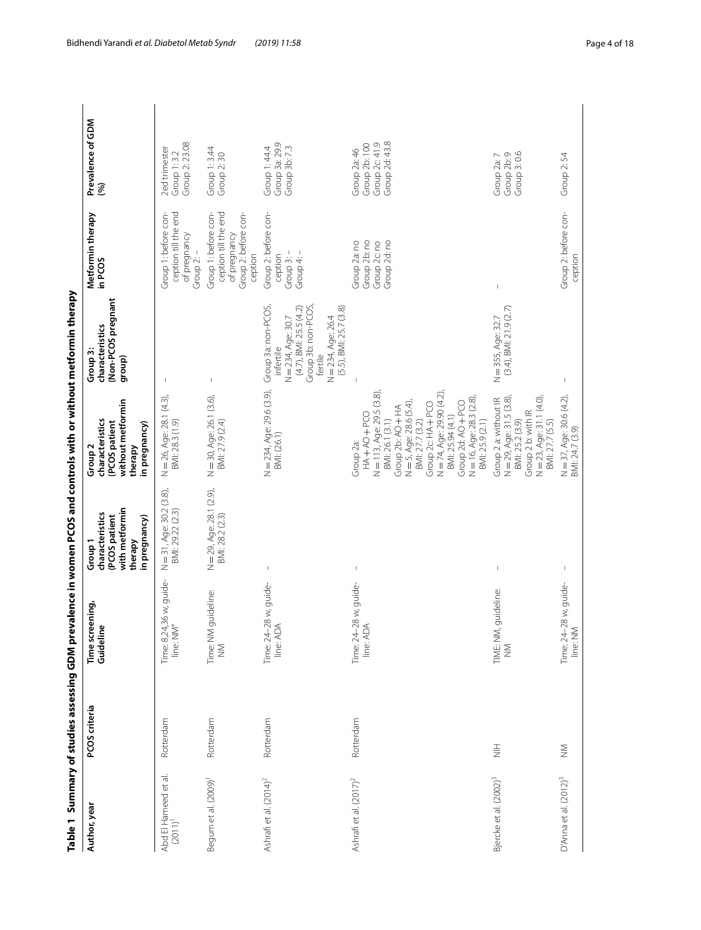<span id="page-3-0"></span>

| $\frac{1}{2}$ |
|---------------|
|               |
|               |
|               |
|               |
|               |
|               |
|               |
|               |
|               |
|               |
|               |
| י<br>ו        |
|               |
|               |
|               |
|               |
|               |
|               |
|               |
|               |
|               |
|               |
|               |
|               |
|               |
|               |
|               |
|               |
|               |
|               |
|               |

|                                             |                             | Table 1  Summary of studies assessing GDM prevalence in women PCOS and controls with or without metformin therapy |                                                                                                      |                                                                                                                                                                                                                                                                                           |                                                                                                                                                                         |                                                                                                 |                                                                   |  |
|---------------------------------------------|-----------------------------|-------------------------------------------------------------------------------------------------------------------|------------------------------------------------------------------------------------------------------|-------------------------------------------------------------------------------------------------------------------------------------------------------------------------------------------------------------------------------------------------------------------------------------------|-------------------------------------------------------------------------------------------------------------------------------------------------------------------------|-------------------------------------------------------------------------------------------------|-------------------------------------------------------------------|--|
| Author, year                                | PCOS criteria               | Time screening,<br>Guideline                                                                                      | with metformin<br>characteristics<br>(PCOS patient<br>in pregnancy)<br>therapy<br>Group <sub>1</sub> | without metformin<br>characteristics<br>(PCOS patient<br>in pregnancy)<br>therapy<br>Group <sub>2</sub>                                                                                                                                                                                   | (Non-PCOS pregnant<br>characteristics<br>Group 3:<br>group)                                                                                                             | Metformin therapy<br>in PCOS                                                                    | Prevalence of GDM<br>(96)                                         |  |
| Abd El Hameed et al.<br>(2011) <sup>1</sup> | Rotterdam                   | Time: 8,24,36 w, guide-<br>line: NM°                                                                              | N = 31, Age: 30.2 (3.8),<br>BMI: 29.22 (2.3)                                                         | N = 26, Age: 28.1 (4.3),<br>BMI: 28.3 (1.9)                                                                                                                                                                                                                                               | Т                                                                                                                                                                       | ception till the end<br>Group 1: before con-<br>of pregnancy<br>Group $2:$ $-$                  | Group 2: 23.08<br>2ed trimester<br>Group 1:3.2                    |  |
| Begum et al. (2009) <sup>1</sup>            | Rotterdam                   | Time: NM guideline:<br>NM                                                                                         | N = 29, Age: 28.1 (2.9),<br>BMI: 28.2 (2.3)                                                          | N = 30, Age: 26.1 (3.6),<br>BMI: 27.9 (2.4)                                                                                                                                                                                                                                               | $\mathsf I$                                                                                                                                                             | ception till the end<br>Group 1: before con-<br>Group 2: before con-<br>of pregnancy<br>ception | Group 1: 3.44<br>Group 2: 30                                      |  |
| Ashrafi et al. (2014) <sup>2</sup>          | Rotterdam                   | Time: 24–28 w, guide-<br>line: ADA                                                                                | $\overline{\phantom{a}}$                                                                             | N = 234, Age: 29.6 (3.9),<br>BMI: (26.1)                                                                                                                                                                                                                                                  | Group 3a: non-PCOS,<br>Group 3b: non-PCOS,<br>N = 234, Age: 30.7<br>(4.7), BMI: 25.5 (4.2)<br>$(5.5)$ , BMI: 25.7 $(3.8)$<br>N = 234, Age: 26.4<br>infertile<br>fertile | Group 2: before con-<br>Group 4: -<br>Group $3:$ $-$<br>ception                                 | Group 3a: 29.9<br>Group 3b: 7.3<br>Group 1: 44.4                  |  |
| Ashrafi et al. (2017) <sup>2</sup>          | Rotterdam                   | Time: 24-28 w, guide-<br>line: ADA                                                                                | $\mathsf I$                                                                                          | N = 113, Age: 29.5 (3.8)<br>N = 74, Age: 29.90 (4.2)<br>N = 16, Age: 28.3 (2.8),<br>N = 5, Age: 28.6 (5.4),<br>BMI: 27.7 (3.2)<br>Group 2d: AO+PCO<br>Group 2c: HA+PCO<br>Group 2b: AO + HA<br>HA+Q<+ <l<br>BMI: 25.94 (4.1)<br/>BMI: 26.1 (3.1)<br/>BMI: 25.9 (2.1)<br/>Group 2a:</l<br> |                                                                                                                                                                         | Group 2b: no<br>Group 2d: no<br>Group 2a: no<br>Group 2c: no                                    | Group 2d: 43.8<br>Group 2c: 41.9<br>Group 2b: 100<br>Group 2a: 46 |  |
| Bjercke et al. (2002) <sup>3</sup>          | $\frac{\text{T}}{\text{Z}}$ | TIME: NM, guideline:<br>$\geqq$                                                                                   | $\overline{1}$                                                                                       | N = 23, Age: 31.1 (4.0),<br>$N = 29$ , Age: 31.5 (3.8),<br>Group 2 a: without IR<br>Group 2 b: with IR<br>BMI: 25.2 (3.9)<br>BMI: 27.7 (5.5)                                                                                                                                              | $(3.4)$ , BMI: 21.9 $(2.7)$<br>N=355, Age: 32.7                                                                                                                         | $\overline{1}$                                                                                  | Group 3:0.6<br>Group 2b: 9<br>Group 2a: 7                         |  |
| D'Anna et al. (2012) <sup>3</sup>           | $\lessgtr$                  | Time: 24-28 w, guide-<br>line: NM                                                                                 | $\mathsf I$                                                                                          | N = 37, Age: 30.6 (4.2),<br>BMI: 24.7 (3.9)                                                                                                                                                                                                                                               | $\mathsf I$                                                                                                                                                             | Group 2: before con-<br>ception                                                                 | Group 2:54                                                        |  |
|                                             |                             |                                                                                                                   |                                                                                                      |                                                                                                                                                                                                                                                                                           |                                                                                                                                                                         |                                                                                                 |                                                                   |  |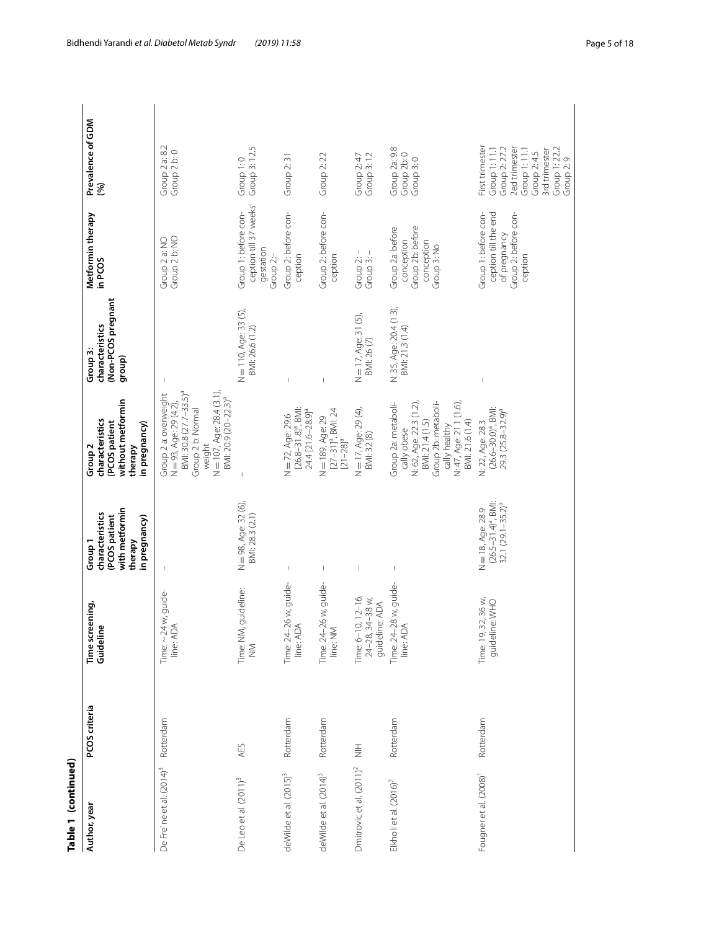| г      |
|--------|
|        |
| ì      |
|        |
|        |
|        |
| ť      |
|        |
|        |
| ۳      |
| c      |
|        |
| ٥<br>Í |
|        |

| Table 1 (continued)                  |               |                                                         |                                                                                                            |                                                                                                                                                                                       |                                                             |                                                                                                 |                                                                                                                                                            |
|--------------------------------------|---------------|---------------------------------------------------------|------------------------------------------------------------------------------------------------------------|---------------------------------------------------------------------------------------------------------------------------------------------------------------------------------------|-------------------------------------------------------------|-------------------------------------------------------------------------------------------------|------------------------------------------------------------------------------------------------------------------------------------------------------------|
| Author, year                         | PCOS criteria | Time screening,<br>Guideline                            | with metformin<br>characteristics<br><b>PCOS</b> patient<br>in pregnancy)<br>therapy<br>Group <sub>1</sub> | without metformin<br>characteristics<br>(PCOS patient<br>in pregnancy)<br>Group <sub>2</sub><br>therapy                                                                               | (Non-PCOS pregnant<br>characteristics<br>Group 3:<br>group) | Metformin therapy<br>in PCOS                                                                    | Prevalence of GDM<br>(96)                                                                                                                                  |
| De Fre`ne et al. (2014) <sup>3</sup> | Rotterdam     | w, guide-<br>Time: $\sim$ 24<br>line: ADA               | $\mathsf I$                                                                                                | N = 107, Age: 28.4 (3.1),<br>BMI: 30.8 (27.7-33.5) <sup>a</sup><br>Group 2 a: overweight<br>BMI: 20.9 (20-22.3) <sup>a</sup><br>N = 93, Age: 29 (4.2),<br>Group 2 b: Normal<br>weight | $\overline{\phantom{a}}$                                    | Group 2 b: NO<br>Group 2 a: NO                                                                  | $\rm 82$<br>Group 2 b: 0<br>Group 2 a:                                                                                                                     |
| De Leo et al. (2011) <sup>3</sup>    | AES           | Time: NM, guideline:<br>$\lessgtr$                      | N = 98, Age: 32 (6),<br>BMI: 28.3 (2.1)                                                                    |                                                                                                                                                                                       | $N = 110$ , Age: 33 (5),<br>BMI: 26.6 (1.2)                 | ception till 37 weeks'<br>Group 1: before con-<br>gestation<br>Group 2:-                        | Group 3: 12.5<br>Group 1:0                                                                                                                                 |
| deWilde et al. (2015) <sup>3</sup>   | Rotterdam     | Time: 24–26 w, guide-<br>line: ADA                      | $\overline{1}$                                                                                             | $[26.8 - 31.8]9$ , BMI:<br>24.4 [21.6-28.9] <sup>a</sup><br>N = 72, Age: 29.6                                                                                                         | I                                                           | Group 2: before con-<br>ception                                                                 | Group $2:31$                                                                                                                                               |
| deWilde et al. (2014) <sup>3</sup>   | Rotterdam     | Time: 24-26 w, guide-<br>line: NM                       | $\mathsf I$                                                                                                | [27–31]ª, BMI: 24<br>[21–28]ª<br>N = 189, Age: 29                                                                                                                                     |                                                             | Group 2: before con-<br>ception                                                                 | Group 2:22                                                                                                                                                 |
| Dmitrovic et al. (2011) <sup>2</sup> | $\frac{1}{2}$ | Time: 6–10, 12–16,<br>24–28, 34–38 w,<br>guideline: ADA | L                                                                                                          | N = 17, Age: 29 (4),<br>BMI: 32 (8)                                                                                                                                                   | N = 17, Age: 31 (5),<br>BMI: 26 (7)                         | Group $3:$ $-$<br>Group $2:$ $-$                                                                | Group 3: 12<br>Group 2: 47                                                                                                                                 |
| Elkholi et al. (2016) <sup>2</sup>   | Rotterdam     | Time: 24-28 w, guide-<br>line: ADA                      | $\overline{\phantom{a}}$                                                                                   | Group 2b: metaboli-<br>N: 47, Age: 21.1 (1.6),<br>N: 62, Age: 22.3 (1.2),<br>Group 2a: metaboli-<br>BMI: 21.4 (1.5)<br>BMI: 21.6 (1.4)<br>cally healthy<br>cally obese                | N: 35, Age: 20.4 (1.3),<br>BMI: 21.3 (1.4)                  | Group 2b: before<br>Group 2a: before<br>conception<br>conception<br>Group 3: No                 | Group 2a: 9.8<br>Group 2b: 0<br>Group 3: 0                                                                                                                 |
| Fougner et al. (2008) <sup>1</sup>   | Rotterdam     | Time: 19, 32, 36 w,<br>guideline: WHO                   | $N = 18$ , Age: 28.9<br>(26.5–31.4) <sup>9</sup> , BMI:<br>32.1 (29.1-35.2) <sup>a</sup>                   | $(26.6 - 30.0)^{a}$ , BMI:<br>29.3 (25.8-32.9) <sup>a</sup><br>N: 22, Age: 28.3                                                                                                       | $\begin{array}{c} \end{array}$                              | Group 1: before con-<br>ception till the end<br>Group 2: before con-<br>of pregnancy<br>ception | First trimester<br>Group 2: 27.2<br>2ed trimester<br>Group 1:22.2<br>3rd trimester<br>Group 1:11.1<br>Group 1: 11.1<br>Group 2:4.5<br>Group <sub>2.9</sub> |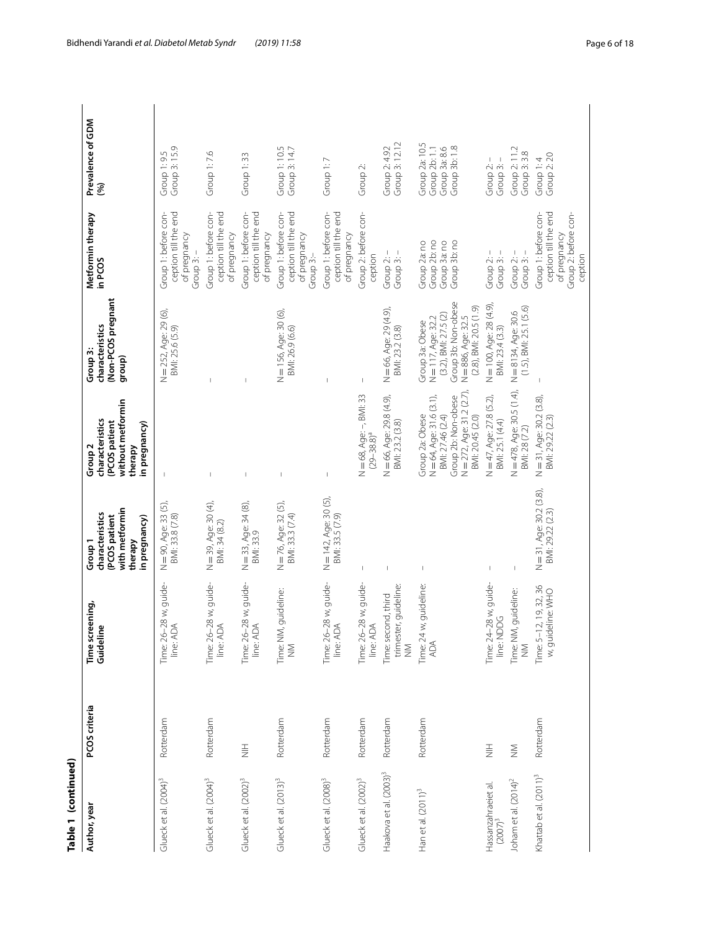| Table 1 (continued)                        |               |                                                                  |                                                                                                      |                                                                                                                                           |                                                                                                                                            |                                                                                                |                                                                   |
|--------------------------------------------|---------------|------------------------------------------------------------------|------------------------------------------------------------------------------------------------------|-------------------------------------------------------------------------------------------------------------------------------------------|--------------------------------------------------------------------------------------------------------------------------------------------|------------------------------------------------------------------------------------------------|-------------------------------------------------------------------|
| Author, year                               | PCOS criteria | Time screening,<br>Guideline                                     | with metformin<br>characteristics<br>(PCOS patient<br>in pregnancy)<br>therapy<br>Group <sub>1</sub> | without metformin<br>characteristics<br>(PCOS patient<br>in pregnancy)<br>therapy<br>Group <sub>2</sub>                                   | (Non-PCOS pregnant<br>characteristics<br>Group 3:<br>group)                                                                                | Metformin therapy<br>in PCOS                                                                   | Prevalence of GDM<br>(96)                                         |
| Glueck et al. (2004) <sup>3</sup>          | Rotterdam     | Time: 26-28 w, guide-<br>$\prec$<br>line: AD,                    | $N = 90, \text{Age: } 33(5)$<br>BMI: 33.8 (7.8)                                                      | $\overline{\phantom{a}}$                                                                                                                  | N = 252, Age: 29 (6),<br>BMI: 25.6 (5.9)                                                                                                   | ception till the end<br>Group 1: before con-<br>of pregnancy<br>Group $3:$ $-$                 | Group 1: 9.5<br>Group 3: 15.9                                     |
| Glueck et al. (2004) <sup>3</sup>          | Rotterdam     | Time: 26-28 w, guide-<br>line: ADA                               | N = 39, Age: 30 (4).<br>BMI: 34 (8.2)                                                                | $\mathsf I$                                                                                                                               | f,                                                                                                                                         | ception till the end<br>Group 1: before con-<br>of pregnancy                                   | Group 1:7.6                                                       |
| Glueck et al. (2002) <sup>3</sup>          | $\frac{1}{2}$ | Time: 26-28 w, guide-<br>line: ADA                               | $N = 33,$ Age: 34 (8)<br>BMI: 33.9                                                                   |                                                                                                                                           |                                                                                                                                            | Group 1: before con-<br>ception till the end<br>of pregnancy                                   | Group 1:33                                                        |
| Glueck et al. (2013) <sup>3</sup>          | Rotterdam     | guideline:<br>Time: NM,<br>NM                                    | $N = 76$ , Age: 32 (5).<br>BMI: 33.3 (7.4)                                                           | $\mathsf I$                                                                                                                               | N = 156, Age: 30 (6),<br>BMI: 26.9 (6.6)                                                                                                   | Group 1: before con-<br>ception till the end<br>of pregnancy<br>Group 3:-                      | Group 1: 10.5<br>Group 3: 14.7                                    |
| Glueck et al. (2008) <sup>3</sup>          | Rotterdam     | Time: 26-28 w, guide-<br>≤<br>line: AD,                          | N = 142, Age: 30 (5),<br>BMI: 33.5 (7.9)                                                             | $\mathsf I$                                                                                                                               |                                                                                                                                            | Group 1: before con-<br>ception till the end<br>of pregnancy                                   | Group 1:7                                                         |
| Glueck et al. (2002) <sup>3</sup>          | Rotterdam     | Time: 26-28 w, guide-<br>line: ADA                               | $\mathbb{I}$                                                                                         | $N = 68, Age: -, BMI: 33$<br>$(29-38.8)3$                                                                                                 | $\overline{\phantom{a}}$                                                                                                                   | Group 2: before con-<br>ception                                                                | Group <sub>2</sub> :                                              |
| Haakova et al. (2003) <sup>3</sup>         | Rotterdam     | trimester, guideline:<br>Time: second, third<br>$\sum_{i=1}^{n}$ | $\mathbf{I}$                                                                                         | N = 66, Age: 29.8 (4.9),<br>BMI: 23.2 (3.8)                                                                                               | N = 66, Age: 29 (4.9),<br>BMI: 23.2 (3.8)                                                                                                  | Group 2: $-$<br>Group 3: $-$                                                                   | Group 2: 4.92<br>Group 3: 12.12                                   |
| Han et al. (2011) <sup>3</sup>             | Rotterdam     | Time: 24 w, guideline:<br>ADA                                    | $\mathsf I$                                                                                          | $N = 272$ , Age: 31.2 (2.7)<br>N = 64, Age: 31.6 (3.1),<br>Group 2b: Non-obese<br>BMI: 27.46 (2.4)<br>Group 2a: Obese<br>BMI: 20.45 (2.0) | Group 3b: Non-obese<br>$(2.8)$ , BMI: $20.5(1.9)$<br>$(3.2)$ , BMI: $27.5(2)$<br>N=886, Age: 32.5<br>N = 117, Age: 32.2<br>Group 3a: Obese | Group 2b: no<br>Group 3a: no<br>Group 3b: no<br>Group 2a: no                                   | Group 2a: 10.5<br>Group 3a: 8.6<br>Group 3b: 1.8<br>Group 2b: 1.1 |
| Hassanzahraeiet al.<br>(2007) <sup>3</sup> | $\frac{1}{2}$ | Time: 24-28 w, guide-<br>line: NDDG                              | $\mathsf I$                                                                                          | N = 47, Age: 27.8 (5.2),<br>BMI: 25.1 (4.4)                                                                                               | N = 100, Age: 28 (4.9),<br>BMI: 23.4 (3.3)                                                                                                 | Group $2:$ $-$<br>Group $3:$ $-$                                                               | Group $3:$ $-$<br>Group <sub>2</sub> :                            |
| Joham et al. (2014) <sup>2</sup>           | $\lessgtr$    | Time: NM, guideline:<br>$\sum_{i=1}^{n}$                         | $\mathsf I$                                                                                          | $=$ 478, Age: 30.5 (1.4),<br>BMI: 28 (7.2)<br>Z                                                                                           | N = 8134, Age: 30.6<br>(1.5), BMI: 25.1 (5.6)                                                                                              | Group $2:$ $-$<br>Group $3:$ $-$                                                               | Group 2: 11.2<br>Group 3: 3.8                                     |
| Khattab et al. (2011) <sup>3</sup>         | Rotterdam     | Time: 5-12, 19, 32, 36<br>w, guideline: WHO                      | $N = 31$ , Age: 30.2 (3.8),<br>BMI: 29.22 (2.3)                                                      | $N = 31$ , Age: 30.2 (3.8),<br>BMI: 29.22 (2.3)                                                                                           |                                                                                                                                            | ception till the end<br>Group 2: before con-<br>Group 1: before con<br>of pregnancy<br>ception | Group 2: 20<br>Group 1:4                                          |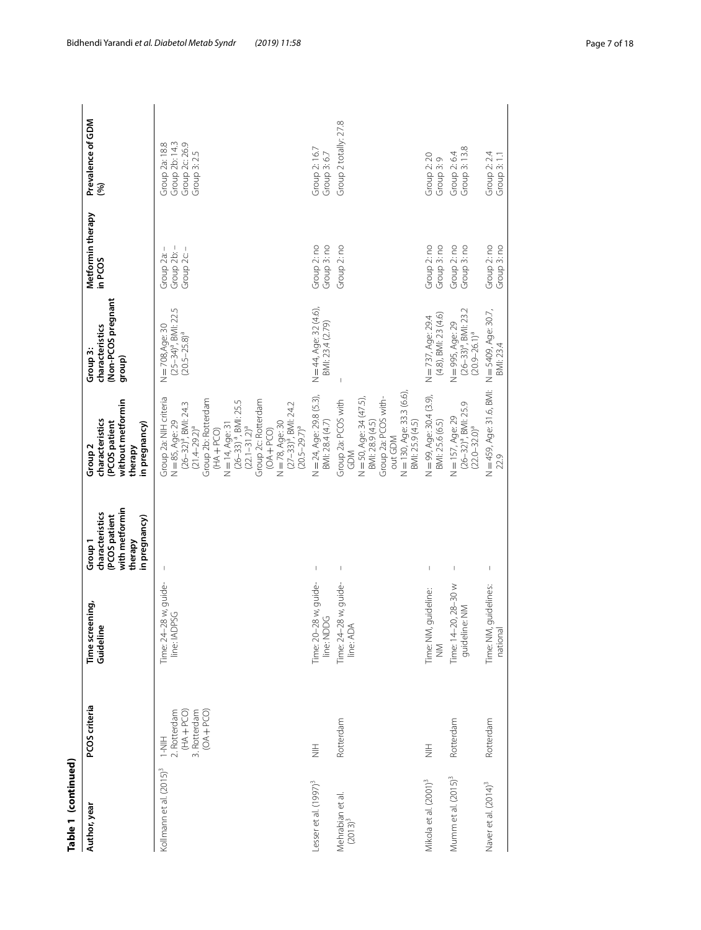| Table 1 (continued)                 |                                                                              |                                         |                                                                                                                                                                                                                                                                                                                                                                                  |                                                                                                                                                                                                                                                                                                                                       |                                                                                      |                                           |                                                                    |
|-------------------------------------|------------------------------------------------------------------------------|-----------------------------------------|----------------------------------------------------------------------------------------------------------------------------------------------------------------------------------------------------------------------------------------------------------------------------------------------------------------------------------------------------------------------------------|---------------------------------------------------------------------------------------------------------------------------------------------------------------------------------------------------------------------------------------------------------------------------------------------------------------------------------------|--------------------------------------------------------------------------------------|-------------------------------------------|--------------------------------------------------------------------|
| Author, year                        | PCOS criteria                                                                | Time screening,<br>Guideline            | with metformin<br>characteristics<br><b>PCOS</b> patient<br>in pregnancy)<br>therapy<br>Group <sub>1</sub>                                                                                                                                                                                                                                                                       | without metformin<br>characteristics<br>PCOS patient<br>in pregnancy)<br>Group <sub>2</sub><br>therapy                                                                                                                                                                                                                                | (Non-PCOS pregnant<br>characteristics<br>Group 3:<br>group)                          | Metformin therapy<br>in PCOS              | Prevalence of GDM<br>(%)                                           |
| Kollmann et al. (2015) <sup>3</sup> | $(OA + PO)$<br>3. Rotterdam<br>2. Rotterdam<br>$(HA + PCO)$<br>$\frac{1}{2}$ | Time: 24-28 w, guide-<br>line: IADPSG   |                                                                                                                                                                                                                                                                                                                                                                                  | Group 2a: NIH criteria<br>Group 2b: Rotterdam<br>$(26-33)$ <sup>a</sup> , BMI: 25.5<br>Group 2c: Rotterdam<br>$N = 85$ , Age: 29<br>(26–32) <sup>a</sup> , BMI: 24.3<br>$(27-33)^3$ , BMI: 24.2<br>N = 78, Age: 30<br>$N = 14, Age: 31$<br>$(21.4 - 29.2)^a$<br>$(22.1 - 31.2)^a$<br>$(20.5 - 29.7)^a$<br>$(OA + PCO)$<br>$(HA + PC)$ | N = 708, Age: 30<br>(25–34) <sup>3</sup> , BMI: 22.5<br>$(20.5 - 25.8)$ <sup>a</sup> | Group 2b: -<br>Group 2c: -<br>Group 2a: - | Group 2b: 14.3<br>Group 2c: 26.9<br>Group 2a: 18.8<br>Group 3: 2.5 |
| Lesser et al. (1997) <sup>3</sup>   | $\frac{1}{2}$                                                                | Time: 20-28 w, guide-<br>line: NDDG     | $\begin{array}{c} \end{array}$                                                                                                                                                                                                                                                                                                                                                   | N = 24, Age: 29.8 (5.3),<br>BMI: 28.4 (4.7)                                                                                                                                                                                                                                                                                           | N=44, Age: 32 (4.6),<br>BMI: 23.4 (2.79)                                             | Group 2: no<br>Group 3: no                | Group 2: 16.7<br>Group 3: 6.7                                      |
| Mehrabian et al.<br>$(2013)^3$      | Rotterdam                                                                    | Time: 24–28 w, guide-<br>line: ADA      | $\,$ $\,$                                                                                                                                                                                                                                                                                                                                                                        | $N = 130, \text{Age: } 33.3(6.6)$<br>Group 2a: PCOS with-<br>$N = 50$ , Age: 34 (47.5),<br>Group 2a: PCOS with<br>BMI: 28.9 (4.5)<br>BMI: 25.9 (4.5)<br>out GDM<br>GDM                                                                                                                                                                | $\overline{\phantom{a}}$                                                             | Group 2: no                               | Group 2 totally: 27.8                                              |
| Mikola et al. (2001) <sup>3</sup>   | $\equiv \equiv$                                                              | Time: NM, guideline:<br>$\sum_{\alpha}$ | $\overline{\phantom{a}}$                                                                                                                                                                                                                                                                                                                                                         | N = 99, Age: 30.4 (3.9),<br>BMI: 25.6 (6.5)                                                                                                                                                                                                                                                                                           | $(4.8)$ , BMI: 23 $(4.6)$<br>N=737, Age: 29.4                                        | Group 2: no<br>Group 3: no                | Group 2: 20<br>Group 3: 9                                          |
| Mumm et al. (2015) <sup>3</sup>     | Rotterdam                                                                    | Time: 14-20, 28-30 w<br>guideline: NM   | T                                                                                                                                                                                                                                                                                                                                                                                | $(26-32)^{a}$ , BMI: 25.9<br>N = 157, Age: 29<br>$(22.0 - 32.0)$ <sup>a</sup>                                                                                                                                                                                                                                                         | N=995, Age: 29<br>(26–33) <sup>a</sup> , BMI: 23.2<br>$(20.9 - 26.1)^a$              | Group 2: no<br>Group 3: no                | Group 3:13.8<br>Group 2:6.4                                        |
| Naver et al. (2014) <sup>3</sup>    | Rotterdam                                                                    | Time: NM, guidelines:<br>national       | $\begin{array}{c} \rule{0pt}{2.5ex} \rule{0pt}{2.5ex} \rule{0pt}{2.5ex} \rule{0pt}{2.5ex} \rule{0pt}{2.5ex} \rule{0pt}{2.5ex} \rule{0pt}{2.5ex} \rule{0pt}{2.5ex} \rule{0pt}{2.5ex} \rule{0pt}{2.5ex} \rule{0pt}{2.5ex} \rule{0pt}{2.5ex} \rule{0pt}{2.5ex} \rule{0pt}{2.5ex} \rule{0pt}{2.5ex} \rule{0pt}{2.5ex} \rule{0pt}{2.5ex} \rule{0pt}{2.5ex} \rule{0pt}{2.5ex} \rule{0$ | N = 459, Age: 31.6, BMI:<br>22.9                                                                                                                                                                                                                                                                                                      | N=5409, Age: 30.7,<br>BMI: 23.4                                                      | Group 2: no<br>Group 3: no                | Group 2: 2.4<br>Group 3: 1.1                                       |
|                                     |                                                                              |                                         |                                                                                                                                                                                                                                                                                                                                                                                  |                                                                                                                                                                                                                                                                                                                                       |                                                                                      |                                           |                                                                    |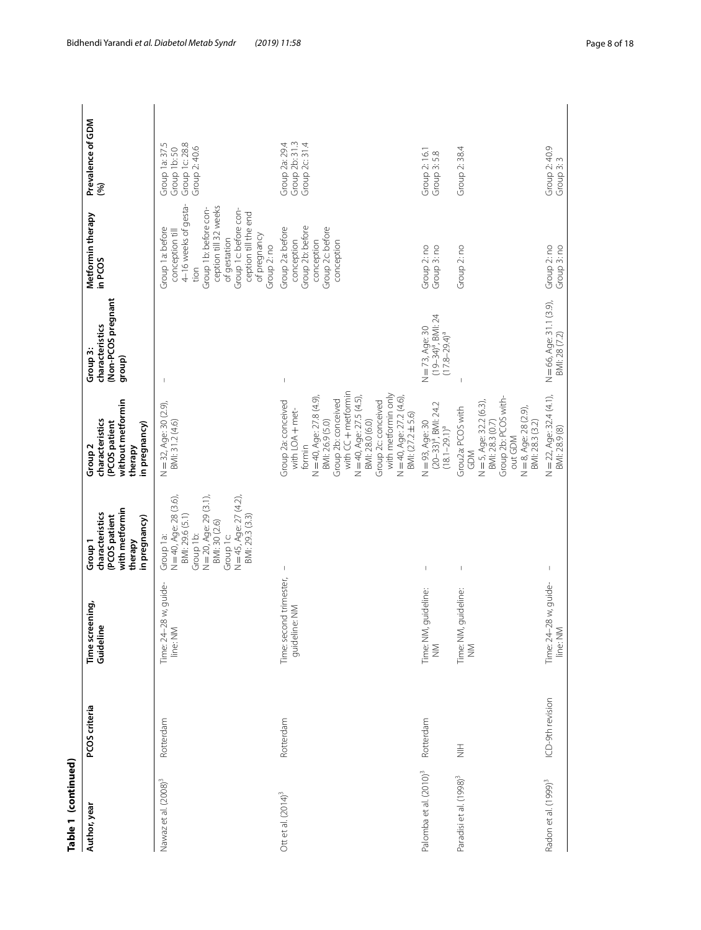| Table 1 (continued)                 |                  |                                          |                                                                                                                                                                         |                                                                                                                                                                                                                                                                                          |                                                                                   |                                                                                                                                                                                                                       |                                                                   |
|-------------------------------------|------------------|------------------------------------------|-------------------------------------------------------------------------------------------------------------------------------------------------------------------------|------------------------------------------------------------------------------------------------------------------------------------------------------------------------------------------------------------------------------------------------------------------------------------------|-----------------------------------------------------------------------------------|-----------------------------------------------------------------------------------------------------------------------------------------------------------------------------------------------------------------------|-------------------------------------------------------------------|
| Author, year                        | PCOS criteria    | Time screening,<br>Guideline             | with metformin<br>characteristics<br>(PCOS patient<br>in pregnancy)<br>therapy<br>Group <sub>1</sub>                                                                    | without metformin<br>characteristics<br>(PCOS patient<br>in pregnancy)<br>therapy<br>Group <sub>2</sub>                                                                                                                                                                                  | (Non-PCOS pregnant<br>characteristics<br>Group 3:<br>group)                       | Metformin therapy<br>in PCOS                                                                                                                                                                                          | Prevalence of GDM<br>(96)                                         |
| Nawaz et al. (2008) <sup>3</sup>    | Rotterdam        | -28 w, guide-<br>line: NM<br>Time: 24-   | N = 20, Age: 29 (3.1),<br>N = 45, Age: 27 (4.2),<br>N = 40, Age: 28 (3.6)<br>BMI: 29.6 (5.1)<br>BMI: 29.3 (3.3)<br>BMI: 30 (2.6)<br>Group 1b:<br>Group 1c:<br>Group 1a: | $N = 32$ , Age: 30 (2.9),<br>BMI: 31.2 (4.6)                                                                                                                                                                                                                                             | $\mathbf{I}$                                                                      | 4-16 weeks of gesta-<br>ception till 32 weeks<br>Group 1b: before con-<br>Group 1c: before con-<br>ception till the end<br>Group 1a: before<br>conception till<br>of pregnancy<br>of gestation<br>Group 2: no<br>tion | Group 1c: 28.8<br>Group 1a: 37.5<br>Group 2: 40.6<br>Group 1b: 50 |
| Ott et al. (2014) <sup>3</sup>      | Rotterdam        | Time: second trimester,<br>guideline: NM | Т                                                                                                                                                                       | with CC + metformin<br>with metformin only<br>N = 40, Age: 27.8 (4.9)<br>N = 40, Age: 27.5 (4.5)<br>N = 40, Age: 27.2 (4.6)<br>Group 2b: conceived<br>Group 2a: conceived<br>Group 2c: conceived<br>with LOA + met-<br>BMI: (27.2 ± 5.6)<br>BMI: 26.9 (5.0)<br>BMI: 28.0 (6.0)<br>formin | $\mathsf I$                                                                       | Group 2b: before<br>Group 2a: before<br>Group 2c: before<br>conception<br>conception<br>conception                                                                                                                    | Group 2b: 31.3<br>Group 2a: 29.4<br>Group 2c: 31.4                |
| Palomba et al. (2010) <sup>3</sup>  | Rotterdam        | guideline:<br>Time: NM,<br>$\lessgtr$    | $\mathsf I$                                                                                                                                                             | $(20-33)^3$ , BMI: 24.2<br>N = 93, Age: 30<br>$(18.1 - 29.1)^a$                                                                                                                                                                                                                          | N = 73, Age: 30<br>(19-34) <sup>a</sup> , BMI: 24<br>$(17.8 - 29.4)$ <sup>a</sup> | Group 2: no<br>Group 3: no                                                                                                                                                                                            | Group 2:16.1<br>Group 3:5.8                                       |
| Paradisi et al. (1998) <sup>3</sup> | $\frac{1}{2}$    | guideline:<br>Time: NM,<br>NM            | $\mathord{\text{\rm I}}$                                                                                                                                                | Group 2b: PCOS with-<br>$N = 5$ , Age: 32.2 (6.3),<br>Grou <sub>2a</sub> : PCOS with<br>N = 8, Age: 28 (2.9),<br>BMI: 28.3 (3.2)<br>BMI: 28.3 (0.7)<br>out GDM<br>GDM                                                                                                                    | $\overline{\phantom{a}}$                                                          | Group <sub>2</sub> : no                                                                                                                                                                                               | Group 2: 38.4                                                     |
| Radon et al. (1999) <sup>3</sup>    | ICD-9th revision | Time: 24-28 w, guide-<br>line: NM        | I                                                                                                                                                                       | N = 22, Age: 32.4 (4.1),<br>BMI: 28.9 (8)                                                                                                                                                                                                                                                | N=66, Age: 31.1 (3.9),<br>BMI: 28 (7.2)                                           | Group 2: no<br>Group 3: no                                                                                                                                                                                            | Group 2: 40.9<br>Group 3: 3                                       |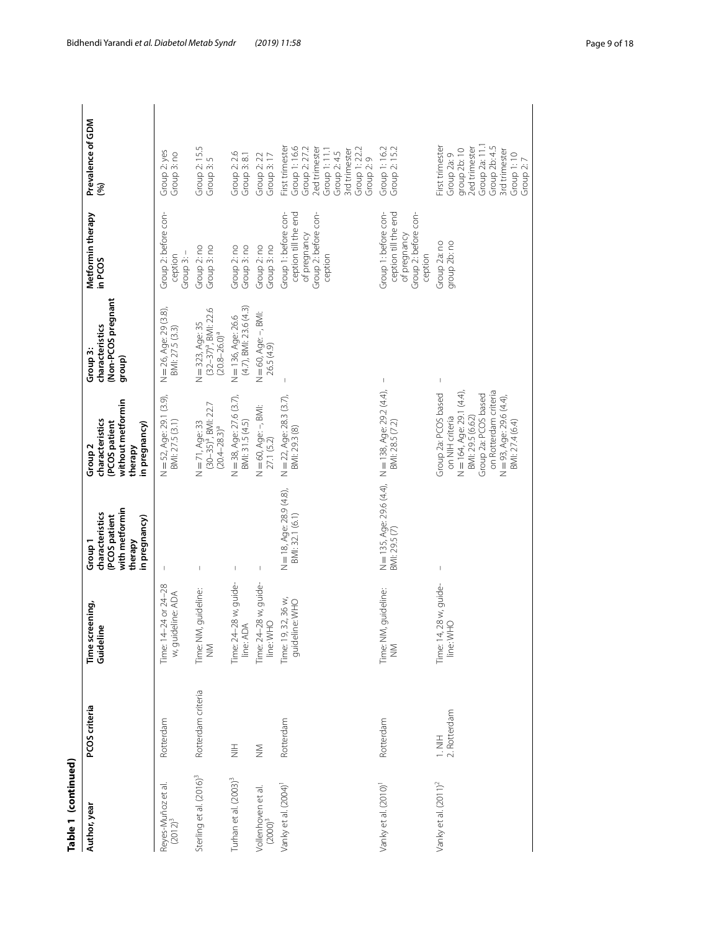| Table 1 (continued)                       |                        |                                           |                                                                                                      |                                                                                                                                                                                          |                                                                              |                                                                                                 |                                                                                                                                                     |
|-------------------------------------------|------------------------|-------------------------------------------|------------------------------------------------------------------------------------------------------|------------------------------------------------------------------------------------------------------------------------------------------------------------------------------------------|------------------------------------------------------------------------------|-------------------------------------------------------------------------------------------------|-----------------------------------------------------------------------------------------------------------------------------------------------------|
| Author, year                              | PCOS criteria          | Time screening,<br>يو<br>Guidelir         | with metformin<br>characteristics<br>(PCOS patient<br>in pregnancy)<br>therapy<br>Group <sub>1</sub> | without metformin<br>characteristics<br>(PCOS patient<br>in pregnancy)<br>Group <sub>2</sub><br>therapy                                                                                  | (Non-PCOS pregnant<br>characteristics<br>Group 3:<br>group)                  | Metformin therapy<br>in PCOS                                                                    | Prevalence of GDM<br>(96)                                                                                                                           |
| Reyes-Muñoz et al.<br>(2012) <sup>3</sup> | Rotterdam              | Time: 14-24 or 24-28<br>w, guideline: ADA | $\mathsf I$                                                                                          | N = 52, Age: 29.1 (3.9),<br>BMI: 27.5 (3.1)                                                                                                                                              | N = 26, Age: 29 (3.8),<br>BMI: 27.5 (3.3)                                    | Group 2: before con-<br>Group $3:$ $-$<br>ception                                               | Group 2: yes<br>Group 3: no                                                                                                                         |
| Sterling et al. (2016) <sup>3</sup>       | Rotterdam criteria     | Time: NM, guideline:<br>$\geqq$           | $\begin{array}{c} \end{array}$                                                                       | $N = 71, Age: 33$<br>(30–35) <sup>3</sup> , BMI: 22.7<br>$(20.4 - 28.3)$ <sup>a</sup>                                                                                                    | $N = 323$ , Age: 35<br>(32–37) <sup>a</sup> , BMI: 22.6<br>$(20.8 - 26.0)^a$ | Group 2: no<br>Group 3: no                                                                      | Group 2:15.5<br>$\sqrt{2}$<br>Group <sub>3</sub> :                                                                                                  |
| Turhan et al. (2003) <sup>3</sup>         | $\frac{1}{2}$          | Time: 24-28 w, guide-<br>line: ADA        | $\,$ $\,$                                                                                            | N = 38, Age: 27.6 (3.7),<br>BMI: 31.5 (4.5)                                                                                                                                              | N = 136, Age: 26.6<br>(4.7), BMI: 23.6 (4.3)                                 | Group 2: no<br>Group 3: no                                                                      | Group 2: 2.6<br>Group $3:8.1$                                                                                                                       |
| Vollenhoven et al.<br>(2000) <sup>3</sup> | $\geqq$                | Time: 24-28 w, guide-<br>line: WHO        | $\mathsf I$                                                                                          | $N = 60, Age: -, BMI: 27.1 (5.2)$                                                                                                                                                        | N=60, Age: -, BMI:<br>26.5 (4.9)                                             | Group 2: no<br>Group 3: no                                                                      | Group 2: 22<br>Group $3:17$                                                                                                                         |
| Vanky et al. (2004) <sup>1</sup>          | Rotterdam              | Time: 19, 32, 36 w,<br>guideline: WHO     | N = 18, Age: 28.9 (4.8),<br>BMI: 32.1 (6.1)                                                          | N = 22, Age: 28.3 (3.7),<br>BMI: 29.3 (8)                                                                                                                                                |                                                                              | ception till the end<br>Group 2: before con-<br>Group 1: before con-<br>of pregnancy<br>ception | Group 1: 16.6<br>First trimester<br>Group 2: 27.2<br>2ed trimester<br>Group 1: 22.2<br>3rd trimester<br>Group 1: 11.1<br>Group 2: 4.5<br>Group 2: 9 |
| Vanky et al. (2010) <sup>1</sup>          | Rotterdam              | Time: NM, guideline:<br>$\geqq$           | N = 135, Age: 29.6 (4.4),<br>BMI: 29.5 (7)                                                           | N = 138, Age: 29.2 (4.4),<br>BMI: 28.5 (7.2)                                                                                                                                             | $\mathsf I$                                                                  | ception till the end<br>Group 1: before con-<br>Group 2: before con-<br>of pregnancy<br>ception | Group 1:16.2<br>Group 2: 15.2                                                                                                                       |
| Vanky et al. (2011) <sup>2</sup>          | 1. NIH<br>2. Rotterdam | Time: 14, 28 w, guide-<br>line: WHO       | $\vert$                                                                                              | on Rotterdam criteria<br>N = 164, Age: 29.1 (4.4),<br>Group 2a: PCOS based<br>Group 2a: PCOS based<br>N = 93, Age: 29.6 (4.4),<br>BMI: 29.5 (6.62)<br>on NIH criteria<br>BMI: 27.4 (6.4) | $\mathord{\text{\rm I}}$                                                     | Group 2a: no<br>group 2b: no                                                                    | Group 2a: 11.1<br>Group 2b: 4.5<br>First trimester<br>2ed trimester<br>group 2b: 10<br>3rd trimester<br>Group 2a: 9<br>Group 1:10<br>Group 2: 7     |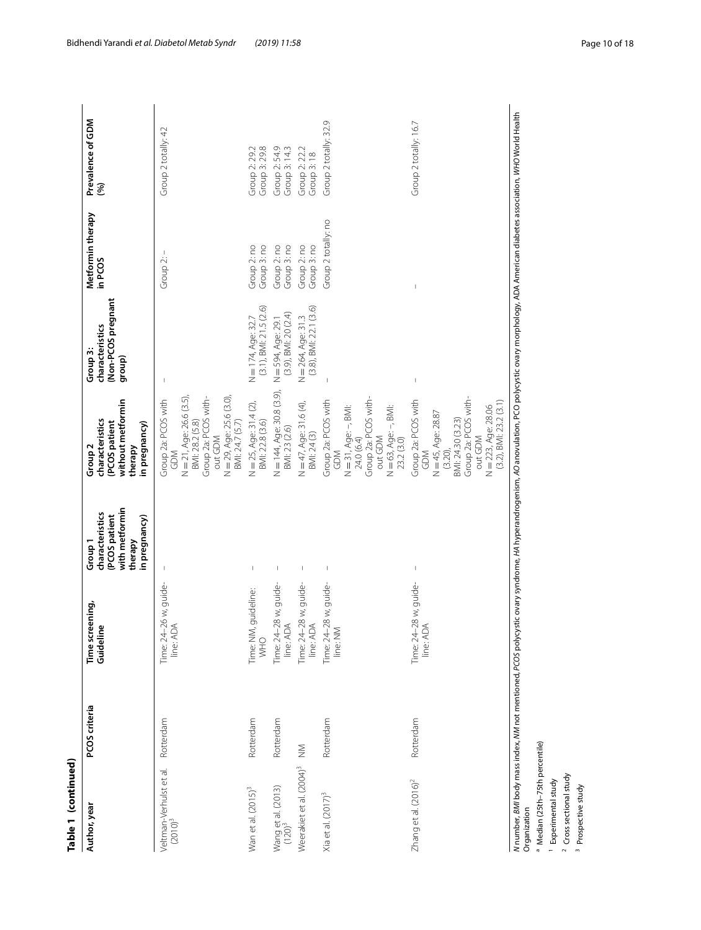| Table 1 (continued)                            |               |                                    |                                                                                                      |                                                                                                                                                                         |                                                            |                              |                                |
|------------------------------------------------|---------------|------------------------------------|------------------------------------------------------------------------------------------------------|-------------------------------------------------------------------------------------------------------------------------------------------------------------------------|------------------------------------------------------------|------------------------------|--------------------------------|
| Author, year                                   | PCOS criteria | Time screening,<br>Guideline       | with metformin<br>characteristics<br>(PCOS patient<br>in pregnancy)<br>therapy<br>Group <sub>1</sub> | without metformin<br>characteristics<br>PCOS patient<br>in pregnancy)<br>therapy<br>Group <sub>2</sub>                                                                  | Non-PCOS pregnant<br>characteristics<br>Group 3:<br>group) | Metformin therapy<br>in PCOS | Prevalence of GDM<br>(96)      |
| Veltman-Verhulst et al.<br>(2010) <sup>3</sup> | Rotterdam     | Time: 24–26 w, guide-<br>line: ADA | $\mid$                                                                                               | N = 21, Age: 26.6 (3.5),<br>Group 2a: PCOS with-<br>N = 29, Age: 25.6 (3.0),<br>BMI: 24.7 (5.7)<br>Group 2a: PCOS with<br>BMI: 28.2 (5.8)<br>out GDM<br>GDM             | $\mid$                                                     | Group $2:$ $-$               | Group 2 totally: 42            |
| Wan et al. (2015) <sup>3</sup>                 | Rotterdam     | guideline:<br>Time: NM,<br>OHW     | L                                                                                                    | $N = 25$ , Age: 31.4 (2),<br>BMI: 22.8 (3.6)                                                                                                                            | $(3.1)$ , BMI: 21.5 $(2.6)$<br>N = 174, Age: 32.7          | Group 2: no<br>Group 3: no   | Group 2: 29.2<br>Group 3: 29.8 |
| Wang et al. (2013)<br>(120) <sup>3</sup>       | Rotterdam     | Time: 24–28 w, guide-<br>line: ADA | $\mathsf I$                                                                                          | N = 144, Age: 30.8 (3.9),<br>BMI: 23 (2.6)                                                                                                                              | $(3.9)$ , BMI: $20(2.4)$<br>N=594, Age: 29.1               | Group 2: no<br>Group 3: no   | Group 2: 54.9<br>Group 3: 14.3 |
| Weerakiet et al. (2004) <sup>3</sup>           | $\geqq$       | Time: 24–28 w, guide-<br>line: ADA | $\mathsf I$                                                                                          | N = 47, Age: 31.6 (4),<br>BMI: 24 (3)                                                                                                                                   | $(3.8)$ , BMI: 22.1 $(3.6)$<br>N=264, Age: 31.3            | Group 2: no<br>Group 3: no   | Group 2: 22.2<br>Group 3: 18   |
| $Xia$ et al. $(2017)^3$                        | Rotterdam     | Time: 24-28 w, guide-<br>line: NM  | Т                                                                                                    | Group 2a: PCOS with-<br>Group 2a: PCOS with<br>$N = 31, Age: -, BMI:$<br>$N = 63$ , Age: -, BMI:<br>23.2 (3.0)<br>out GDM<br>24.0 (6.4)<br>GDM                          |                                                            | Group 2 totally: no          | Group 2 totally: 32.9          |
| Zhang et al. $(2016)^2$                        | Rotterdam     | Time: 24–28 w, guide-<br>line: ADA | $\begin{array}{c} \hline \end{array}$                                                                | Group 2a: PCOS with<br>$(3.2)$ , BMI: 23.2 $(3.1)$<br>Group 2a: PCOS with<br>N = 223, Age: 28.06<br>N = 45, Age: 28.87<br>BMI: 24.30 (3.23)<br>out GDM<br>(3.20)<br>GDM | $\overline{\phantom{a}}$                                   |                              | Group 2 totally: 16.7          |
|                                                |               |                                    |                                                                                                      |                                                                                                                                                                         |                                                            |                              |                                |

N number, BMI body mass index, MM not mentioned, PCOS polycystic ovary syndrome, H4 hyperandrogenism, AO anovulation, PCO polycystic ovary morphology, ADA American diabetes association, WHO World Health<br>Organization M number, BMI body mass index, MM not mentioned, PCOS polycystic ovary syndrome, HA hyperandrogenism, AO anovulation, PCO polycystic ovary morphology, ADA American diabetes association, WHO World Health Organization

<sup>a</sup> Median (25th-75th percentile) Median (25th–75th percentile)

 $\sim$  Experimental study Cross sectional study

<sup>3</sup> Prospective study Prospective study

Table 1 (continued)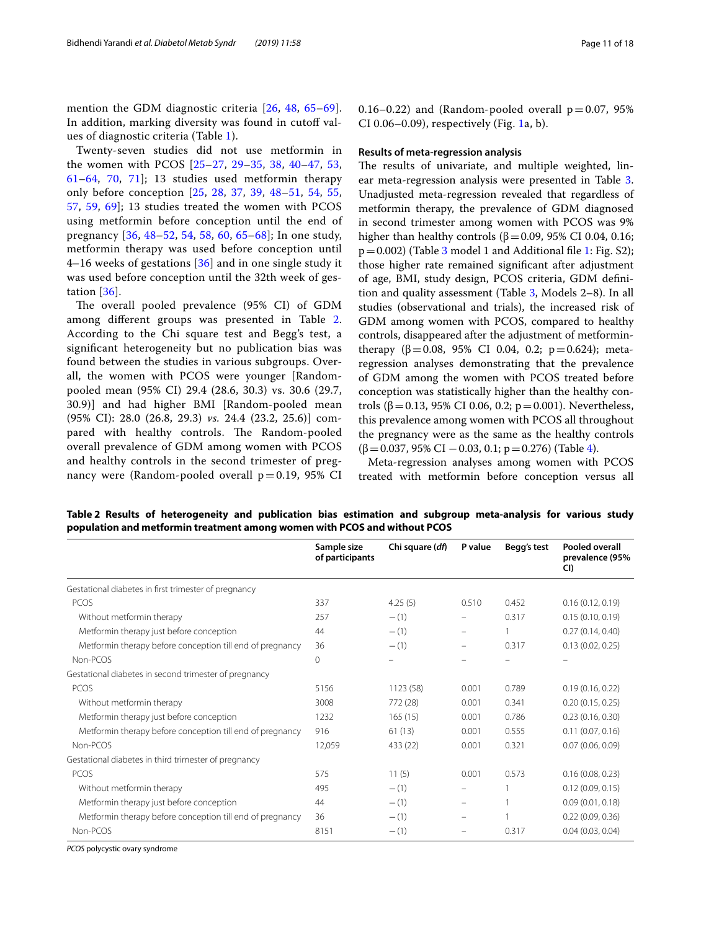mention the GDM diagnostic criteria [[26](#page-16-34), [48,](#page-17-1) [65–](#page-17-14)[69\]](#page-17-15). In addition, marking diversity was found in cutoff values of diagnostic criteria (Table [1\)](#page-3-0).

Twenty-seven studies did not use metformin in the women with PCOS [\[25–](#page-16-19)[27,](#page-16-20) [29](#page-16-27)–[35](#page-16-35), [38,](#page-16-23) [40–](#page-16-31)[47,](#page-17-0) [53](#page-17-11), [61–](#page-17-10)[64,](#page-17-13) [70](#page-17-16), [71\]](#page-17-17); 13 studies used metformin therapy only before conception [[25,](#page-16-19) [28](#page-16-26), [37,](#page-16-30) [39,](#page-16-24) [48](#page-17-1)[–51,](#page-17-2) [54,](#page-17-6) [55](#page-17-7), [57,](#page-17-18) [59](#page-17-9), [69](#page-17-15)]; 13 studies treated the women with PCOS using metformin before conception until the end of pregnancy [[36](#page-16-36), [48–](#page-17-1)[52,](#page-17-3) [54](#page-17-6), [58,](#page-17-8) [60](#page-17-19), [65–](#page-17-14)[68\]](#page-17-20); In one study, metformin therapy was used before conception until 4–16 weeks of gestations  $[36]$  $[36]$  and in one single study it was used before conception until the 32th week of gestation [\[36\]](#page-16-36).

The overall pooled prevalence (95% CI) of GDM among diferent groups was presented in Table [2](#page-10-0). According to the Chi square test and Begg's test, a signifcant heterogeneity but no publication bias was found between the studies in various subgroups. Overall, the women with PCOS were younger [Randompooled mean (95% CI) 29.4 (28.6, 30.3) vs. 30.6 (29.7, 30.9)] and had higher BMI [Random-pooled mean (95% CI): 28.0 (26.8, 29.3) *vs.* 24.4 (23.2, 25.6)] compared with healthy controls. The Random-pooled overall prevalence of GDM among women with PCOS and healthy controls in the second trimester of pregnancy were (Random-pooled overall  $p=0.19$ , 95% CI 0.16–0.22) and (Random-pooled overall  $p=0.07$ , 95% CI 0.06–0.09), respectively (Fig. [1a](#page-11-0), b).

## **Results of meta-regression analysis**

The results of univariate, and multiple weighted, lin-ear meta-regression analysis were presented in Table [3](#page-13-0). Unadjusted meta-regression revealed that regardless of metformin therapy, the prevalence of GDM diagnosed in second trimester among women with PCOS was 9% higher than healthy controls ( $β=0.09$ , 95% CI 0.04, 0.16;  $p=0.002$ ) (Table [3](#page-13-0) model [1](#page-15-1) and Additional file 1: Fig. S2); those higher rate remained signifcant after adjustment of age, BMI, study design, PCOS criteria, GDM defnition and quality assessment (Table [3,](#page-13-0) Models 2–8). In all studies (observational and trials), the increased risk of GDM among women with PCOS, compared to healthy controls, disappeared after the adjustment of metformintherapy (β=0.08, 95% CI 0.04, 0.2; p=0.624); metaregression analyses demonstrating that the prevalence of GDM among the women with PCOS treated before conception was statistically higher than the healthy controls (β = 0.13, 95% CI 0.06, 0.2; p = 0.001). Nevertheless, this prevalence among women with PCOS all throughout the pregnancy were as the same as the healthy controls  $(\beta=0.037, 95\% \text{ CI} - 0.03, 0.1; \text{p}=0.276)$  (Table [4\)](#page-14-0).

Meta-regression analyses among women with PCOS treated with metformin before conception versus all

**Sample size of participants Chi square (***df***) P value Begg's test Pooled overall prevalence (95% CI)** Gestational diabetes in frst trimester of pregnancy PCOS 2016 (0.12, 0.19) 337 4.25 (5) 337 4.25 (5) 0.510 0.452 0.16 (0.12, 0.19) Without metformin therapy 257 −(1) – 0.317 0.15 (0.10, 0.19) Metformin therapy just before conception  $44$   $-$ (1)  $-$  1 0.27 (0.14, 0.40) Metformin therapy before conception till end of pregnancy 36 − (1) − 0.317 0.13 (0.02, 0.25)<br>Non-PCOS − − − Non-PCOS 0 – – – – Gestational diabetes in second trimester of pregnancy PCOS 5156 1123 (58) 0.001 0.789 0.19 (0.16, 0.22) Without metformin therapy 1.000 3008 3008 772 (28) 0.001 0.341 0.20 (0.15, 0.25) Metformin therapy just before conception 1232 165 (15) 0.001 0.786 0.23 (0.16, 0.30) Metformin therapy before conception till end of pregnancy 916 61 (13) 0.001 0.555 0.11 (0.07, 0.16) Non-PCOS 20001 2,059 433 (22) 0.001 0.321 0.07 (0.06, 0.09) Gestational diabetes in third trimester of pregnancy PCOS 675 575 11 (5) 0.001 0.573 0.16 (0.08, 0.23) Without metformin therapy  $495$  – (1) – 1 0.12 (0.09, 0.15) Metformin therapy just before conception  $44$   $- (1)$   $-$  1 0.09 (0.01, 0.18) Metformin therapy before conception till end of pregnancy 36 − (1) − 1 0.22 (0.09, 0.36) Non-PCOS 61 → 8151 − (1) − 0.317 0.04 (0.03, 0.04)

<span id="page-10-0"></span>**Table 2 Results of heterogeneity and publication bias estimation and subgroup meta-analysis for various study population and metformin treatment among women with PCOS and without PCOS**

*PCOS* polycystic ovary syndrome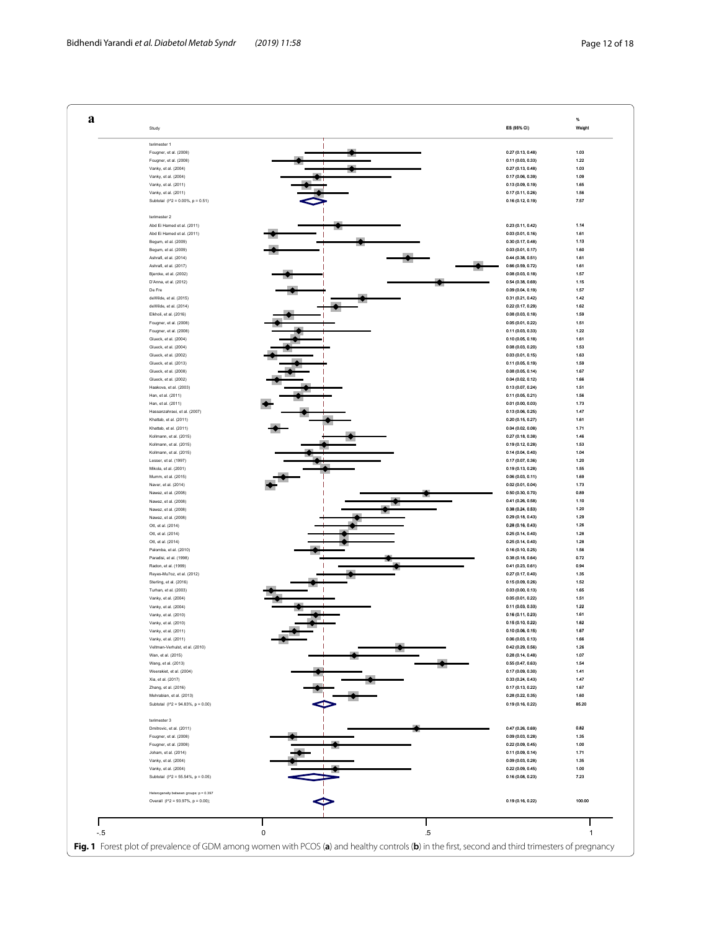<span id="page-11-0"></span>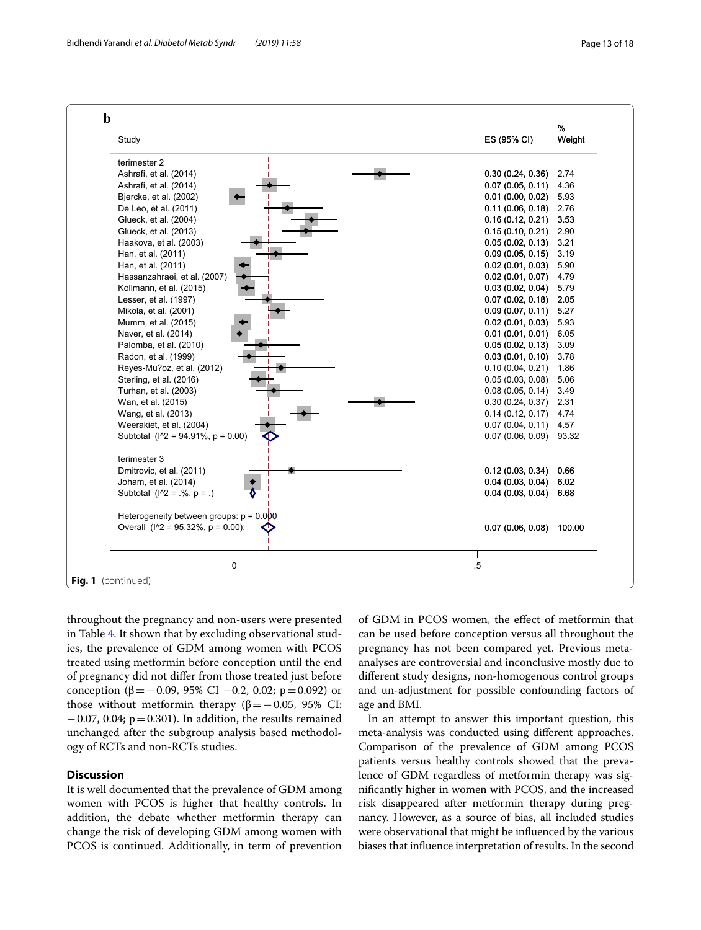

throughout the pregnancy and non-users were presented in Table [4.](#page-14-0) It shown that by excluding observational studies, the prevalence of GDM among women with PCOS treated using metformin before conception until the end of pregnancy did not difer from those treated just before conception (β = −0.09, 95% CI −0.2, 0.02; p = 0.092) or those without metformin therapy ( $β = 0.05$ , 95% CI:  $-0.07$ , 0.04;  $p = 0.301$ ). In addition, the results remained unchanged after the subgroup analysis based methodology of RCTs and non-RCTs studies.

## **Discussion**

It is well documented that the prevalence of GDM among women with PCOS is higher that healthy controls. In addition, the debate whether metformin therapy can change the risk of developing GDM among women with PCOS is continued. Additionally, in term of prevention of GDM in PCOS women, the efect of metformin that can be used before conception versus all throughout the pregnancy has not been compared yet. Previous metaanalyses are controversial and inconclusive mostly due to diferent study designs, non-homogenous control groups and un-adjustment for possible confounding factors of age and BMI.

In an attempt to answer this important question, this meta-analysis was conducted using diferent approaches. Comparison of the prevalence of GDM among PCOS patients versus healthy controls showed that the prevalence of GDM regardless of metformin therapy was signifcantly higher in women with PCOS, and the increased risk disappeared after metformin therapy during pregnancy. However, as a source of bias, all included studies were observational that might be infuenced by the various biases that infuence interpretation of results. In the second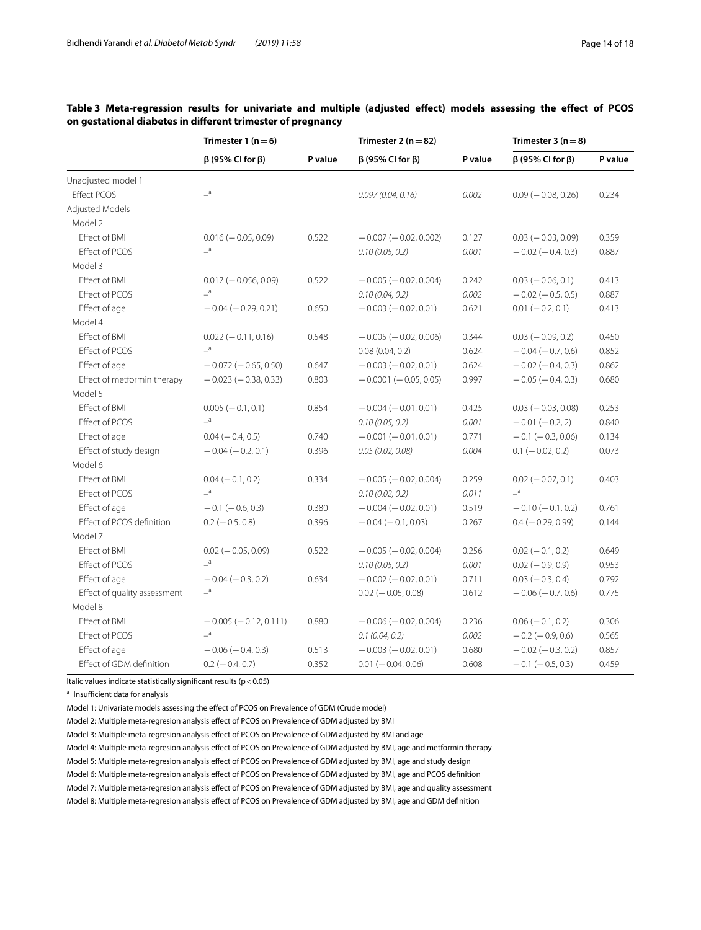|                              | Trimester 1 ( $n = 6$ )                                  |         | Trimester 2 ( $n = 82$ )      |         | Trimester $3(n=8)$            |         |
|------------------------------|----------------------------------------------------------|---------|-------------------------------|---------|-------------------------------|---------|
|                              | $\beta$ (95% CI for $\beta$ )                            | P value | $\beta$ (95% CI for $\beta$ ) | P value | $\beta$ (95% CI for $\beta$ ) | P value |
| Unadjusted model 1           |                                                          |         |                               |         |                               |         |
| <b>Effect PCOS</b>           | $a_{-}$                                                  |         | 0.097(0.04, 0.16)             | 0.002   | $0.09$ ( $-0.08$ , 0.26)      | 0.234   |
| Adjusted Models              |                                                          |         |                               |         |                               |         |
| Model 2                      |                                                          |         |                               |         |                               |         |
| Effect of BMI                | $0.016 (-0.05, 0.09)$                                    | 0.522   | $-0.007$ ( $-0.02$ , 0.002)   | 0.127   | $0.03 (-0.03, 0.09)$          | 0.359   |
| Effect of PCOS               | $a^2$                                                    |         | 0.10(0.05, 0.2)               | 0.001   | $-0.02(-0.4, 0.3)$            | 0.887   |
| Model 3                      |                                                          |         |                               |         |                               |         |
| Effect of BMI                | $0.017 (-0.056, 0.09)$                                   | 0.522   | $-0.005$ ( $-0.02, 0.004$ )   | 0.242   | $0.03 (-0.06, 0.1)$           | 0.413   |
| Effect of PCOS               | $\mathsf{a}_-$                                           |         | 0.10(0.04, 0.2)               | 0.002   | $-0.02$ ( $-0.5, 0.5$ )       | 0.887   |
| Effect of age                | $-0.04$ ( $-0.29$ , 0.21)                                | 0.650   | $-0.003(-0.02, 0.01)$         | 0.621   | $0.01 (-0.2, 0.1)$            | 0.413   |
| Model 4                      |                                                          |         |                               |         |                               |         |
| Effect of BMI                | $0.022 (-0.11, 0.16)$                                    | 0.548   | $-0.005$ ( $-0.02$ , 0.006)   | 0.344   | $0.03 (-0.09, 0.2)$           | 0.450   |
| Effect of PCOS               | $\overline{\phantom{a}}^a$                               |         | 0.08(0.04, 0.2)               | 0.624   | $-0.04 (-0.7, 0.6)$           | 0.852   |
| Effect of age                | $-0.072$ ( $-0.65$ , 0.50)                               | 0.647   | $-0.003(-0.02, 0.01)$         | 0.624   | $-0.02$ ( $-0.4$ , 0.3)       | 0.862   |
| Effect of metformin therapy  | $-0.023(-0.38, 0.33)$                                    | 0.803   | $-0.0001(-0.05, 0.05)$        | 0.997   | $-0.05$ ( $-0.4, 0.3$ )       | 0.680   |
| Model 5                      |                                                          |         |                               |         |                               |         |
| Effect of BMI                | $0.005 (-0.1, 0.1)$                                      | 0.854   | $-0.004 (-0.01, 0.01)$        | 0.425   | $0.03 (-0.03, 0.08)$          | 0.253   |
| Effect of PCOS               | $a_{-}$                                                  |         | 0.10(0.05, 0.2)               | 0.001   | $-0.01 (-0.2, 2)$             | 0.840   |
| Effect of age                | $0.04 (-0.4, 0.5)$                                       | 0.740   | $-0.001(-0.01, 0.01)$         | 0.771   | $-0.1$ ( $-0.3$ , 0.06)       | 0.134   |
| Effect of study design       | $-0.04 (-0.2, 0.1)$                                      | 0.396   | 0.05(0.02, 0.08)              | 0.004   | $0.1 (-0.02, 0.2)$            | 0.073   |
| Model 6                      |                                                          |         |                               |         |                               |         |
| Effect of BMI                | $0.04 (-0.1, 0.2)$                                       | 0.334   | $-0.005(-0.02, 0.004)$        | 0.259   | $0.02 (-0.07, 0.1)$           | 0.403   |
| Effect of PCOS               | $a_{-}$                                                  |         | 0.10(0.02, 0.2)               | 0.011   | $a_{-}$                       |         |
| Effect of age                | $-0.1$ ( $-0.6, 0.3$ )                                   | 0.380   | $-0.004 (-0.02, 0.01)$        | 0.519   | $-0.10 (-0.1, 0.2)$           | 0.761   |
| Effect of PCOS definition    | $0.2 (-0.5, 0.8)$                                        | 0.396   | $-0.04 (-0.1, 0.03)$          | 0.267   | $0.4 (-0.29, 0.99)$           | 0.144   |
| Model 7                      |                                                          |         |                               |         |                               |         |
| Effect of BMI                | $0.02 (-0.05, 0.09)$                                     | 0.522   | $-0.005(-0.02, 0.004)$        | 0.256   | $0.02 (-0.1, 0.2)$            | 0.649   |
| Effect of PCOS               | $a_{-}$                                                  |         | 0.10(0.05, 0.2)               | 0.001   | $0.02 (-0.9, 0.9)$            | 0.953   |
| Effect of age                | $-0.04 (-0.3, 0.2)$                                      | 0.634   | $-0.002(-0.02, 0.01)$         | 0.711   | $0.03 (-0.3, 0.4)$            | 0.792   |
| Effect of quality assessment | $\mathord{\hspace{1pt}\text{--}\hspace{1pt}}^{\text{a}}$ |         | $0.02 (-0.05, 0.08)$          | 0.612   | $-0.06 (-0.7, 0.6)$           | 0.775   |
| Model 8                      |                                                          |         |                               |         |                               |         |
| Effect of BMI                | $-0.005(-0.12, 0.111)$                                   | 0.880   | $-0.006$ ( $-0.02$ , 0.004)   | 0.236   | $0.06 (-0.1, 0.2)$            | 0.306   |
| Effect of PCOS               | $a_{-}$                                                  |         | 0.1(0.04, 0.2)                | 0.002   | $-0.2$ ( $-0.9, 0.6$ )        | 0.565   |
| Effect of age                | $-0.06 (-0.4, 0.3)$                                      | 0.513   | $-0.003(-0.02, 0.01)$         | 0.680   | $-0.02$ ( $-0.3, 0.2$ )       | 0.857   |
| Effect of GDM definition     | $0.2 (-0.4, 0.7)$                                        | 0.352   | $0.01 (-0.04, 0.06)$          | 0.608   | $-0.1$ ( $-0.5, 0.3$ )        | 0.459   |

<span id="page-13-0"></span>

| Table 3 Meta-regression results for univariate and multiple (adjusted effect) models assessing the effect of PCOS |  |  |  |  |  |  |
|-------------------------------------------------------------------------------------------------------------------|--|--|--|--|--|--|
| on gestational diabetes in different trimester of pregnancy                                                       |  |  |  |  |  |  |

Italic values indicate statistically significant results ( $p < 0.05$ )

<sup>a</sup> Insufficient data for analysis

Model 1: Univariate models assessing the efect of PCOS on Prevalence of GDM (Crude model)

Model 2: Multiple meta-regresion analysis efect of PCOS on Prevalence of GDM adjusted by BMI

Model 3: Multiple meta-regresion analysis effect of PCOS on Prevalence of GDM adjusted by BMI and age

Model 4: Multiple meta-regresion analysis efect of PCOS on Prevalence of GDM adjusted by BMI, age and metformin therapy

Model 5: Multiple meta-regresion analysis efect of PCOS on Prevalence of GDM adjusted by BMI, age and study design

Model 6: Multiple meta-regresion analysis efect of PCOS on Prevalence of GDM adjusted by BMI, age and PCOS defnition

Model 7: Multiple meta-regresion analysis efect of PCOS on Prevalence of GDM adjusted by BMI, age and quality assessment

Model 8: Multiple meta-regresion analysis efect of PCOS on Prevalence of GDM adjusted by BMI, age and GDM defnition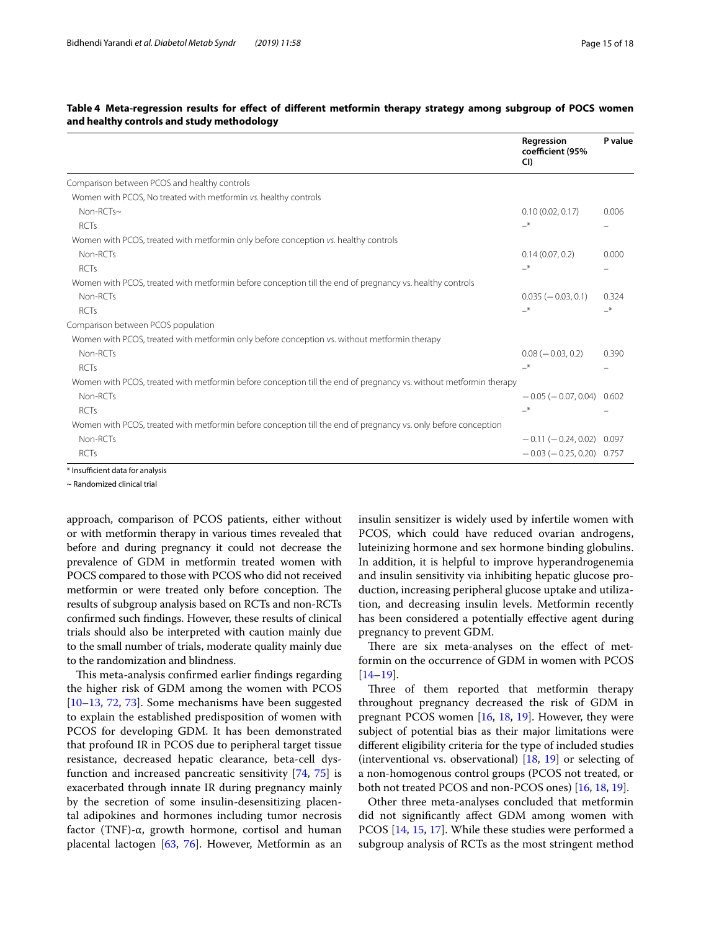|                                                                                                                   | Regression<br>coefficient (95%<br>CI | P value       |
|-------------------------------------------------------------------------------------------------------------------|--------------------------------------|---------------|
| Comparison between PCOS and healthy controls                                                                      |                                      |               |
| Women with PCOS, No treated with metformin vs. healthy controls                                                   |                                      |               |
| $Non-RCTs~\sim$                                                                                                   | 0.10(0.02, 0.17)                     | 0.006         |
| <b>RCTs</b>                                                                                                       | $-$ *                                |               |
| Women with PCOS, treated with metformin only before conception vs. healthy controls                               |                                      |               |
| Non-RCTs                                                                                                          | 0.14(0.07, 0.2)                      | 0.000         |
| <b>RCTs</b>                                                                                                       | $-$ *                                |               |
| Women with PCOS, treated with metformin before conception till the end of pregnancy vs. healthy controls          |                                      |               |
| Non-RCTs                                                                                                          | $0.035 (-0.03, 0.1)$                 | 0.324         |
| <b>RCTs</b>                                                                                                       | $-$ *                                | $\rightarrow$ |
| Comparison between PCOS population                                                                                |                                      |               |
| Women with PCOS, treated with metformin only before conception vs. without metformin therapy                      |                                      |               |
| Non-RCTs                                                                                                          | $0.08 (-0.03, 0.2)$                  | 0.390         |
| <b>RCTs</b>                                                                                                       | $-$ *                                |               |
| Women with PCOS, treated with metformin before conception till the end of pregnancy vs. without metformin therapy |                                      |               |
| Non-RCTs                                                                                                          | $-0.05(-0.07, 0.04)$                 | 0.602         |
| <b>RCTs</b>                                                                                                       | $-$ *                                |               |
| Women with PCOS, treated with metformin before conception till the end of pregnancy vs. only before conception    |                                      |               |
| Non-RCTs                                                                                                          | $-0.11 (-0.24, 0.02)$                | 0.097         |
| <b>RCTs</b>                                                                                                       | $-0.03$ ( $-0.25$ , 0.20) 0.757      |               |

## <span id="page-14-0"></span>**Table 4 Meta-regression results for efect of diferent metformin therapy strategy among subgroup of POCS women and healthy controls and study methodology**

\* Insufficient data for analysis

~ Randomized clinical trial

approach, comparison of PCOS patients, either without or with metformin therapy in various times revealed that before and during pregnancy it could not decrease the prevalence of GDM in metformin treated women with POCS compared to those with PCOS who did not received metformin or were treated only before conception. The results of subgroup analysis based on RCTs and non-RCTs confrmed such fndings. However, these results of clinical trials should also be interpreted with caution mainly due to the small number of trials, moderate quality mainly due to the randomization and blindness.

This meta-analysis confirmed earlier findings regarding the higher risk of GDM among the women with PCOS [[10–](#page-16-6)[13](#page-16-8), [72,](#page-17-21) [73](#page-17-22)]. Some mechanisms have been suggested to explain the established predisposition of women with PCOS for developing GDM. It has been demonstrated that profound IR in PCOS due to peripheral target tissue resistance, decreased hepatic clearance, beta-cell dysfunction and increased pancreatic sensitivity [\[74](#page-17-23), [75](#page-17-24)] is exacerbated through innate IR during pregnancy mainly by the secretion of some insulin-desensitizing placental adipokines and hormones including tumor necrosis factor (TNF)-α, growth hormone, cortisol and human placental lactogen [[63,](#page-17-25) [76](#page-17-26)]. However, Metformin as an insulin sensitizer is widely used by infertile women with PCOS, which could have reduced ovarian androgens, luteinizing hormone and sex hormone binding globulins. In addition, it is helpful to improve hyperandrogenemia and insulin sensitivity via inhibiting hepatic glucose production, increasing peripheral glucose uptake and utilization, and decreasing insulin levels. Metformin recently has been considered a potentially effective agent during pregnancy to prevent GDM.

There are six meta-analyses on the effect of metformin on the occurrence of GDM in women with PCOS  $[14–19]$  $[14–19]$  $[14–19]$ .

Three of them reported that metformin therapy throughout pregnancy decreased the risk of GDM in pregnant PCOS women [[16,](#page-16-37) [18,](#page-16-12) [19\]](#page-16-10). However, they were subject of potential bias as their major limitations were diferent eligibility criteria for the type of included studies (interventional vs. observational)  $[18, 19]$  $[18, 19]$  $[18, 19]$  $[18, 19]$  or selecting of a non-homogenous control groups (PCOS not treated, or both not treated PCOS and non-PCOS ones) [\[16](#page-16-37), [18](#page-16-12), [19](#page-16-10)].

Other three meta-analyses concluded that metformin did not signifcantly afect GDM among women with PCOS [[14,](#page-16-9) [15](#page-16-13), [17\]](#page-16-11). While these studies were performed a subgroup analysis of RCTs as the most stringent method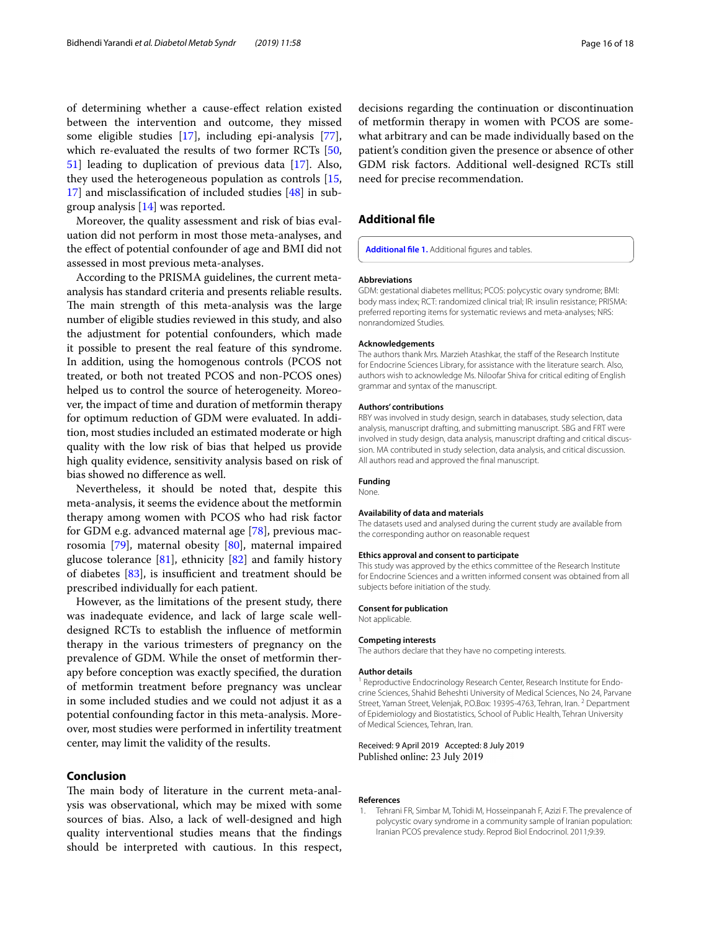of determining whether a cause-efect relation existed between the intervention and outcome, they missed some eligible studies [[17\]](#page-16-11), including epi-analysis [\[77](#page-17-27)], which re-evaluated the results of two former RCTs [\[50](#page-17-5), [51\]](#page-17-2) leading to duplication of previous data [[17\]](#page-16-11). Also, they used the heterogeneous population as controls [\[15](#page-16-13), [17\]](#page-16-11) and misclassifcation of included studies [[48](#page-17-1)] in subgroup analysis [\[14](#page-16-9)] was reported.

Moreover, the quality assessment and risk of bias evaluation did not perform in most those meta-analyses, and the efect of potential confounder of age and BMI did not assessed in most previous meta-analyses.

According to the PRISMA guidelines, the current metaanalysis has standard criteria and presents reliable results. The main strength of this meta-analysis was the large number of eligible studies reviewed in this study, and also the adjustment for potential confounders, which made it possible to present the real feature of this syndrome. In addition, using the homogenous controls (PCOS not treated, or both not treated PCOS and non-PCOS ones) helped us to control the source of heterogeneity. Moreover, the impact of time and duration of metformin therapy for optimum reduction of GDM were evaluated. In addition, most studies included an estimated moderate or high quality with the low risk of bias that helped us provide high quality evidence, sensitivity analysis based on risk of bias showed no diference as well.

Nevertheless, it should be noted that, despite this meta-analysis, it seems the evidence about the metformin therapy among women with PCOS who had risk factor for GDM e.g. advanced maternal age [\[78\]](#page-17-28), previous macrosomia [\[79](#page-17-29)], maternal obesity [[80\]](#page-17-30), maternal impaired glucose tolerance  $[81]$  $[81]$ , ethnicity  $[82]$  $[82]$  and family history of diabetes  $[83]$  $[83]$ , is insufficient and treatment should be prescribed individually for each patient.

However, as the limitations of the present study, there was inadequate evidence, and lack of large scale welldesigned RCTs to establish the infuence of metformin therapy in the various trimesters of pregnancy on the prevalence of GDM. While the onset of metformin therapy before conception was exactly specifed, the duration of metformin treatment before pregnancy was unclear in some included studies and we could not adjust it as a potential confounding factor in this meta-analysis. Moreover, most studies were performed in infertility treatment center, may limit the validity of the results.

## **Conclusion**

The main body of literature in the current meta-analysis was observational, which may be mixed with some sources of bias. Also, a lack of well-designed and high quality interventional studies means that the fndings should be interpreted with cautious. In this respect, decisions regarding the continuation or discontinuation of metformin therapy in women with PCOS are somewhat arbitrary and can be made individually based on the patient's condition given the presence or absence of other GDM risk factors. Additional well-designed RCTs still need for precise recommendation.

## **Additional fle**

<span id="page-15-1"></span>Additional file 1. Additional figures and tables.

## **Abbreviations**

GDM: gestational diabetes mellitus; PCOS: polycystic ovary syndrome; BMI: body mass index; RCT: randomized clinical trial; IR: insulin resistance; PRISMA: preferred reporting items for systematic reviews and meta-analyses; NRS: nonrandomized Studies.

#### **Acknowledgements**

The authors thank Mrs. Marzieh Atashkar, the staf of the Research Institute for Endocrine Sciences Library, for assistance with the literature search. Also, authors wish to acknowledge Ms. Niloofar Shiva for critical editing of English grammar and syntax of the manuscript.

#### **Authors' contributions**

RBY was involved in study design, search in databases, study selection, data analysis, manuscript drafting, and submitting manuscript. SBG and FRT were involved in study design, data analysis, manuscript drafting and critical discussion. MA contributed in study selection, data analysis, and critical discussion. All authors read and approved the fnal manuscript.

#### **Funding**

None.

## **Availability of data and materials**

The datasets used and analysed during the current study are available from the corresponding author on reasonable request

## **Ethics approval and consent to participate**

This study was approved by the ethics committee of the Research Institute for Endocrine Sciences and a written informed consent was obtained from all subjects before initiation of the study.

#### **Consent for publication**

Not applicable.

#### **Competing interests**

The authors declare that they have no competing interests.

#### **Author details**

<sup>1</sup> Reproductive Endocrinology Research Center, Research Institute for Endo‑ crine Sciences, Shahid Beheshti University of Medical Sciences, No 24, Parvane Street, Yaman Street, Velenjak, P.O.Box: 19395-4763, Tehran, Iran. <sup>2</sup> Department of Epidemiology and Biostatistics, School of Public Health, Tehran University of Medical Sciences, Tehran, Iran.

Received: 9 April 2019 Accepted: 8 July 2019 Published online: 23 July 2019

#### **References**

<span id="page-15-0"></span>1. Tehrani FR, Simbar M, Tohidi M, Hosseinpanah F, Azizi F. The prevalence of polycystic ovary syndrome in a community sample of Iranian population: Iranian PCOS prevalence study. Reprod Biol Endocrinol. 2011;9:39.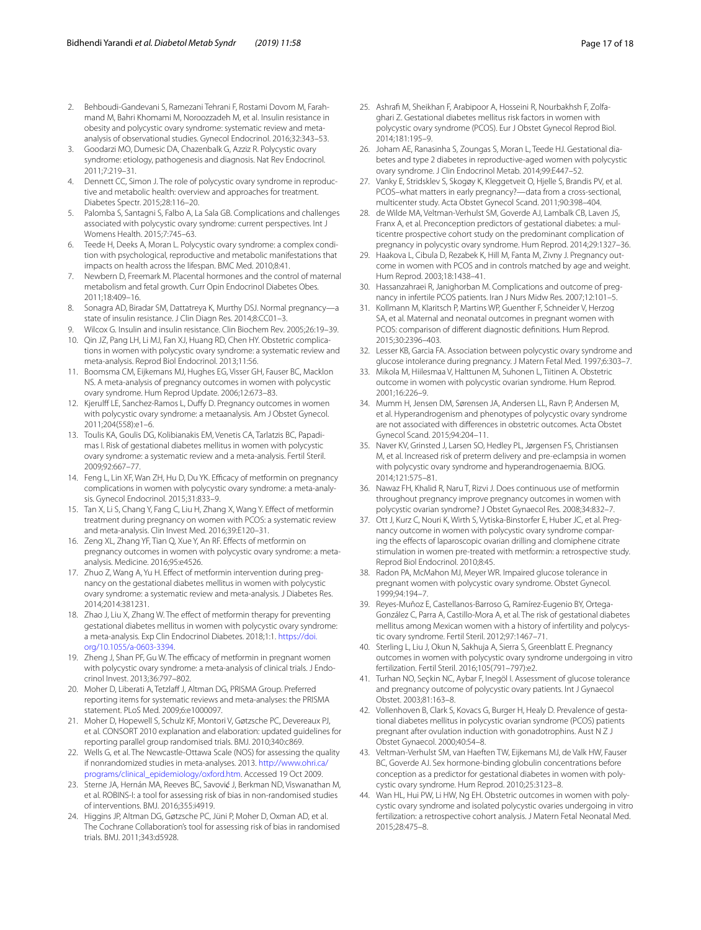- <span id="page-16-0"></span>2. Behboudi-Gandevani S, Ramezani Tehrani F, Rostami Dovom M, Farahmand M, Bahri Khomami M, Noroozzadeh M, et al. Insulin resistance in obesity and polycystic ovary syndrome: systematic review and metaanalysis of observational studies. Gynecol Endocrinol. 2016;32:343–53.
- <span id="page-16-1"></span>3. Goodarzi MO, Dumesic DA, Chazenbalk G, Azziz R. Polycystic ovary syndrome: etiology, pathogenesis and diagnosis. Nat Rev Endocrinol. 2011;7:219–31.
- <span id="page-16-2"></span>4. Dennett CC, Simon J. The role of polycystic ovary syndrome in reproductive and metabolic health: overview and approaches for treatment. Diabetes Spectr. 2015;28:116–20.
- <span id="page-16-7"></span>5. Palomba S, Santagni S, Falbo A, La Sala GB. Complications and challenges associated with polycystic ovary syndrome: current perspectives. Int J Womens Health. 2015;7:745–63.
- <span id="page-16-3"></span>6. Teede H, Deeks A, Moran L. Polycystic ovary syndrome: a complex condition with psychological, reproductive and metabolic manifestations that impacts on health across the lifespan. BMC Med. 2010;8:41.
- <span id="page-16-4"></span>7. Newbern D, Freemark M. Placental hormones and the control of maternal metabolism and fetal growth. Curr Opin Endocrinol Diabetes Obes. 2011;18:409–16.
- 8. Sonagra AD, Biradar SM, Dattatreya K, Murthy DSJ. Normal pregnancy—a state of insulin resistance. J Clin Diagn Res. 2014;8:CC01–3.
- <span id="page-16-5"></span>9. Wilcox G. Insulin and insulin resistance. Clin Biochem Rev. 2005;26:19–39.
- <span id="page-16-6"></span>10. Qin JZ, Pang LH, Li MJ, Fan XJ, Huang RD, Chen HY. Obstetric complications in women with polycystic ovary syndrome: a systematic review and meta-analysis. Reprod Biol Endocrinol. 2013;11:56.
- 11. Boomsma CM, Eijkemans MJ, Hughes EG, Visser GH, Fauser BC, Macklon NS. A meta-analysis of pregnancy outcomes in women with polycystic ovary syndrome. Hum Reprod Update. 2006;12:673–83.
- 12. Kjerulff LE, Sanchez-Ramos L, Duffy D. Pregnancy outcomes in women with polycystic ovary syndrome: a metaanalysis. Am J Obstet Gynecol. 2011;204(558):e1–6.
- <span id="page-16-8"></span>13. Toulis KA, Goulis DG, Kolibianakis EM, Venetis CA, Tarlatzis BC, Papadimas I. Risk of gestational diabetes mellitus in women with polycystic ovary syndrome: a systematic review and a meta-analysis. Fertil Steril. 2009;92:667–77.
- <span id="page-16-9"></span>14. Feng L, Lin XF, Wan ZH, Hu D, Du YK. Efficacy of metformin on pregnancy complications in women with polycystic ovary syndrome: a meta-analysis. Gynecol Endocrinol. 2015;31:833–9.
- <span id="page-16-13"></span>15. Tan X, Li S, Chang Y, Fang C, Liu H, Zhang X, Wang Y. Efect of metformin treatment during pregnancy on women with PCOS: a systematic review and meta-analysis. Clin Invest Med. 2016;39:E120–31.
- <span id="page-16-37"></span>16. Zeng XL, Zhang YF, Tian Q, Xue Y, An RF. Efects of metformin on pregnancy outcomes in women with polycystic ovary syndrome: a metaanalysis. Medicine. 2016;95:e4526.
- <span id="page-16-11"></span>17. Zhuo Z, Wang A, Yu H. Effect of metformin intervention during pregnancy on the gestational diabetes mellitus in women with polycystic ovary syndrome: a systematic review and meta-analysis. J Diabetes Res. 2014;2014:381231.
- <span id="page-16-12"></span>18. Zhao J, Liu X, Zhang W. The effect of metformin therapy for preventing gestational diabetes mellitus in women with polycystic ovary syndrome: a meta-analysis. Exp Clin Endocrinol Diabetes. 2018;1:1. [https://doi.](https://doi.org/10.1055/a-0603-3394) [org/10.1055/a-0603-3394.](https://doi.org/10.1055/a-0603-3394)
- <span id="page-16-10"></span>19. Zheng J, Shan PF, Gu W. The efficacy of metformin in pregnant women with polycystic ovary syndrome: a meta-analysis of clinical trials. J Endocrinol Invest. 2013;36:797–802.
- <span id="page-16-14"></span>20. Moher D, Liberati A, Tetzlaff J, Altman DG, PRISMA Group. Preferred reporting items for systematic reviews and meta-analyses: the PRISMA statement. PLoS Med. 2009;6:e1000097.
- <span id="page-16-15"></span>21. Moher D, Hopewell S, Schulz KF, Montori V, Gøtzsche PC, Devereaux PJ, et al. CONSORT 2010 explanation and elaboration: updated guidelines for reporting parallel group randomised trials. BMJ. 2010;340:c869.
- <span id="page-16-16"></span>22. Wells G, et al. The Newcastle-Ottawa Scale (NOS) for assessing the quality if nonrandomized studies in meta-analyses. 2013. [http://www.ohri.ca/](http://www.ohri.ca/programs/clinical_epidemiology/oxford.htm) [programs/clinical\\_epidemiology/oxford.htm.](http://www.ohri.ca/programs/clinical_epidemiology/oxford.htm) Accessed 19 Oct 2009.
- <span id="page-16-17"></span>23. Sterne JA, Hernán MA, Reeves BC, Savović J, Berkman ND, Viswanathan M, et al. ROBINS-I: a tool for assessing risk of bias in non-randomised studies of interventions. BMJ. 2016;355:i4919.
- <span id="page-16-18"></span>24. Higgins JP, Altman DG, Gøtzsche PC, Jüni P, Moher D, Oxman AD, et al. The Cochrane Collaboration's tool for assessing risk of bias in randomised trials. BMJ. 2011;343:d5928.
- <span id="page-16-19"></span>25. Ashrafi M, Sheikhan F, Arabipoor A, Hosseini R, Nourbakhsh F, Zolfaghari Z. Gestational diabetes mellitus risk factors in women with polycystic ovary syndrome (PCOS). Eur J Obstet Gynecol Reprod Biol. 2014;181:195–9.
- <span id="page-16-34"></span>26. Joham AE, Ranasinha S, Zoungas S, Moran L, Teede HJ. Gestational diabetes and type 2 diabetes in reproductive-aged women with polycystic ovary syndrome. J Clin Endocrinol Metab. 2014;99:E447–52.
- <span id="page-16-20"></span>27. Vanky E, Stridsklev S, Skogøy K, Kleggetveit O, Hjelle S, Brandis PV, et al. PCOS–what matters in early pregnancy?—data from a cross-sectional, multicenter study. Acta Obstet Gynecol Scand. 2011;90:398–404.
- <span id="page-16-26"></span>28. de Wilde MA, Veltman-Verhulst SM, Goverde AJ, Lambalk CB, Laven JS, Franx A, et al. Preconception predictors of gestational diabetes: a multicentre prospective cohort study on the predominant complication of pregnancy in polycystic ovary syndrome. Hum Reprod. 2014;29:1327–36.
- <span id="page-16-27"></span>29. Haakova L, Cibula D, Rezabek K, Hill M, Fanta M, Zivny J. Pregnancy outcome in women with PCOS and in controls matched by age and weight. Hum Reprod. 2003;18:1438–41.
- <span id="page-16-21"></span>30. Hassanzahraei R, Janighorban M. Complications and outcome of pregnancy in infertile PCOS patients. Iran J Nurs Midw Res. 2007;12:101–5.
- <span id="page-16-28"></span>31. Kollmann M, Klaritsch P, Martins WP, Guenther F, Schneider V, Herzog SA, et al. Maternal and neonatal outcomes in pregnant women with PCOS: comparison of diferent diagnostic defnitions. Hum Reprod. 2015;30:2396–403.
- <span id="page-16-22"></span>32. Lesser KB, Garcia FA. Association between polycystic ovary syndrome and glucose intolerance during pregnancy. J Matern Fetal Med. 1997;6:303–7.
- <span id="page-16-29"></span>33. Mikola M, Hiilesmaa V, Halttunen M, Suhonen L, Tiitinen A. Obstetric outcome in women with polycystic ovarian syndrome. Hum Reprod. 2001;16:226–9.
- 34. Mumm H, Jensen DM, Sørensen JA, Andersen LL, Ravn P, Andersen M, et al. Hyperandrogenism and phenotypes of polycystic ovary syndrome are not associated with diferences in obstetric outcomes. Acta Obstet Gynecol Scand. 2015;94:204–11.
- <span id="page-16-35"></span>35. Naver KV, Grinsted J, Larsen SO, Hedley PL, Jørgensen FS, Christiansen M, et al. Increased risk of preterm delivery and pre-eclampsia in women with polycystic ovary syndrome and hyperandrogenaemia. BJOG. 2014;121:575–81.
- <span id="page-16-36"></span>36. Nawaz FH, Khalid R, Naru T, Rizvi J. Does continuous use of metformin throughout pregnancy improve pregnancy outcomes in women with polycystic ovarian syndrome? J Obstet Gynaecol Res. 2008;34:832–7.
- <span id="page-16-30"></span>37. Ott J, Kurz C, Nouri K, Wirth S, Vytiska-Binstorfer E, Huber JC, et al. Pregnancy outcome in women with polycystic ovary syndrome comparing the efects of laparoscopic ovarian drilling and clomiphene citrate stimulation in women pre-treated with metformin: a retrospective study. Reprod Biol Endocrinol. 2010;8:45.
- <span id="page-16-23"></span>38. Radon PA, McMahon MJ, Meyer WR. Impaired glucose tolerance in pregnant women with polycystic ovary syndrome. Obstet Gynecol. 1999;94:194–7.
- <span id="page-16-24"></span>39. Reyes-Muñoz E, Castellanos-Barroso G, Ramírez-Eugenio BY, Ortega-González C, Parra A, Castillo-Mora A, et al. The risk of gestational diabetes mellitus among Mexican women with a history of infertility and polycystic ovary syndrome. Fertil Steril. 2012;97:1467–71.
- <span id="page-16-31"></span>40. Sterling L, Liu J, Okun N, Sakhuja A, Sierra S, Greenblatt E. Pregnancy outcomes in women with polycystic ovary syndrome undergoing in vitro fertilization. Fertil Steril. 2016;105(791–797):e2.
- <span id="page-16-25"></span>41. Turhan NO, Seçkin NC, Aybar F, Inegöl I. Assessment of glucose tolerance and pregnancy outcome of polycystic ovary patients. Int J Gynaecol Obstet. 2003;81:163–8.
- <span id="page-16-32"></span>42. Vollenhoven B, Clark S, Kovacs G, Burger H, Healy D. Prevalence of gestational diabetes mellitus in polycystic ovarian syndrome (PCOS) patients pregnant after ovulation induction with gonadotrophins. Aust N Z J Obstet Gynaecol. 2000;40:54–8.
- 43. Veltman-Verhulst SM, van Haeften TW, Eijkemans MJ, de Valk HW, Fauser BC, Goverde AJ. Sex hormone-binding globulin concentrations before conception as a predictor for gestational diabetes in women with polycystic ovary syndrome. Hum Reprod. 2010;25:3123–8.
- <span id="page-16-33"></span>44. Wan HL, Hui PW, Li HW, Ng EH. Obstetric outcomes in women with polycystic ovary syndrome and isolated polycystic ovaries undergoing in vitro fertilization: a retrospective cohort analysis. J Matern Fetal Neonatal Med. 2015;28:475–8.